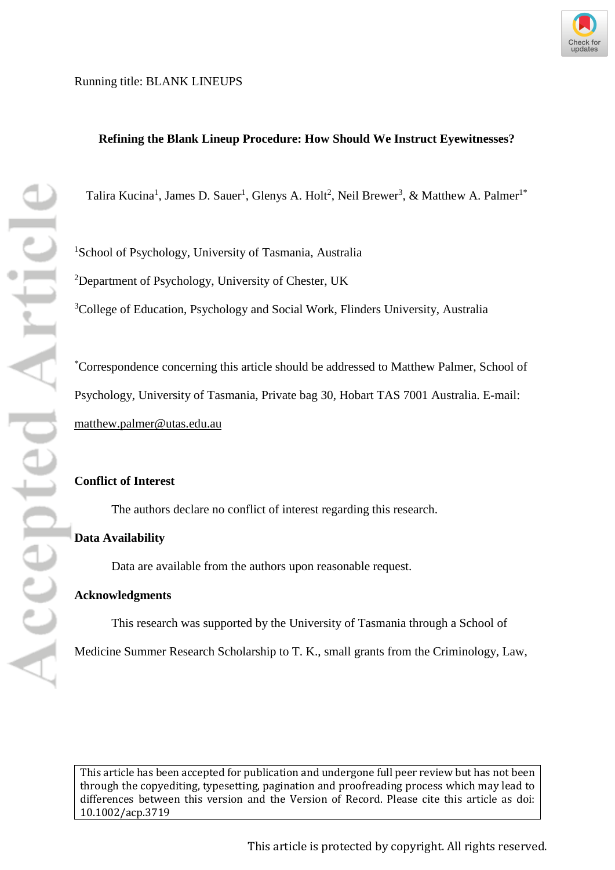

# **Refining the Blank Lineup Procedure: How Should We Instruct Eyewitnesses?**

Talira Kucina<sup>1</sup>, James D. Sauer<sup>1</sup>, Glenys A. Holt<sup>2</sup>, Neil Brewer<sup>3</sup>, & Matthew A. Palmer<sup>1\*</sup>

<sup>1</sup>School of Psychology, University of Tasmania, Australia <sup>2</sup>Department of Psychology, University of Chester, UK

<sup>3</sup>College of Education, Psychology and Social Work, Flinders University, Australia

\* Correspondence concerning this article should be addressed to Matthew Palmer, School of Psychology, University of Tasmania, Private bag 30, Hobart TAS 7001 Australia. E-mail: [matthew.palmer@utas.edu.au](mailto:matthew.palmer@utas.edu.au)

### **Conflict of Interest**

The authors declare no conflict of interest regarding this research.

# **Data Availability**

Data are available from the authors upon reasonable request.

### **Acknowledgments**

This research was supported by the University of Tasmania through a School of Medicine Summer Research Scholarship to T. K., small grants from the Criminology, Law,

[This article has been accepted for publication and undergone full peer review but has not been](http://dx.doi.org/10.1002/acp.3719)  [through the copyediting, typesetting, pagination and proofreading process which may lead to](http://dx.doi.org/10.1002/acp.3719)  [differences between this version and the Version of Record. Please cite this article as doi:](http://dx.doi.org/10.1002/acp.3719)  [10.1002/acp.3719](http://dx.doi.org/10.1002/acp.3719)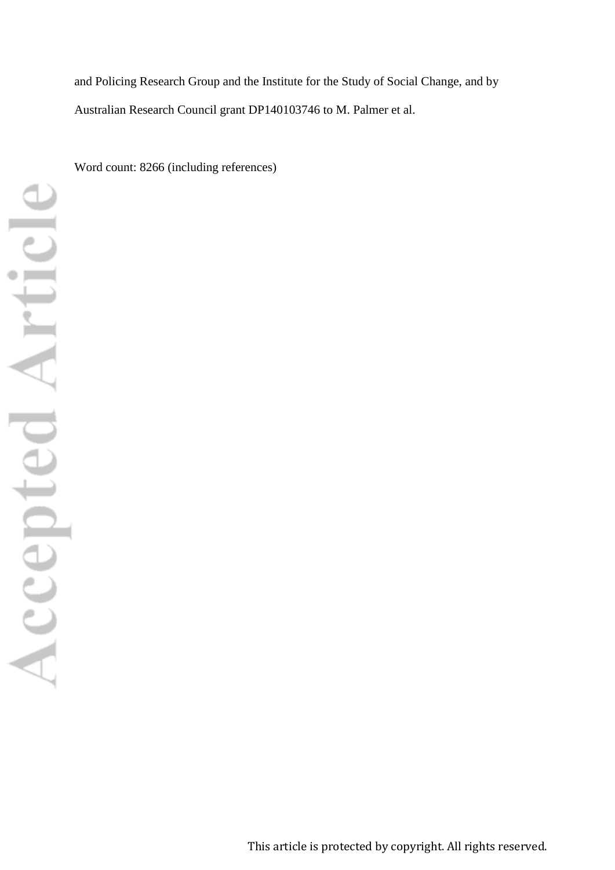and Policing Research Group and the Institute for the Study of Social Change, and by Australian Research Council grant DP140103746 to M. Palmer et al.

Word count: 8266 (including references)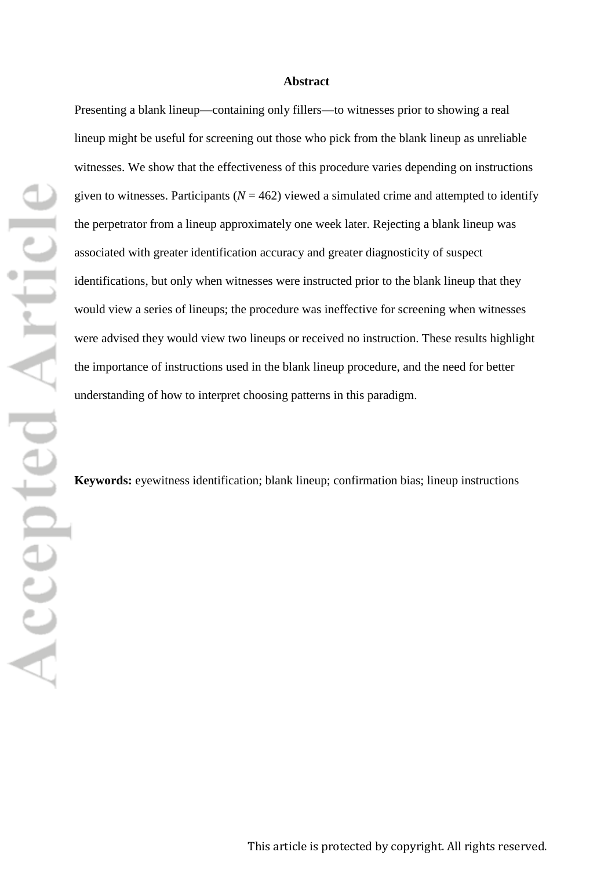### **Abstract**

Presenting a blank lineup—containing only fillers—to witnesses prior to showing a real lineup might be useful for screening out those who pick from the blank lineup as unreliable witnesses. We show that the effectiveness of this procedure varies depending on instructions given to witnesses. Participants ( $N = 462$ ) viewed a simulated crime and attempted to identify the perpetrator from a lineup approximately one week later. Rejecting a blank lineup was associated with greater identification accuracy and greater diagnosticity of suspect identifications, but only when witnesses were instructed prior to the blank lineup that they would view a series of lineups; the procedure was ineffective for screening when witnesses were advised they would view two lineups or received no instruction. These results highlight the importance of instructions used in the blank lineup procedure, and the need for better understanding of how to interpret choosing patterns in this paradigm.

**Keywords:** eyewitness identification; blank lineup; confirmation bias; lineup instructions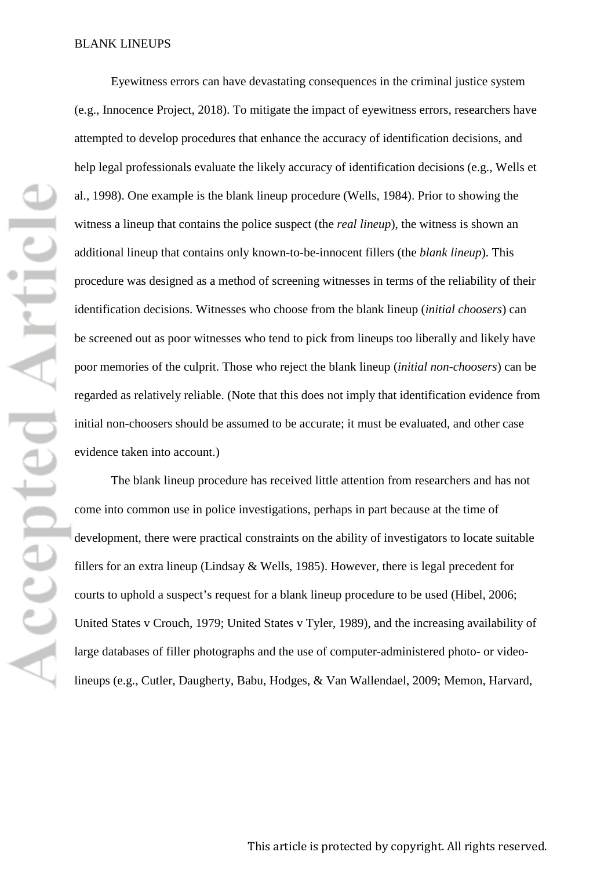Eyewitness errors can have devastating consequences in the criminal justice system (e.g., Innocence Project, 2018). To mitigate the impact of eyewitness errors, researchers have attempted to develop procedures that enhance the accuracy of identification decisions, and help legal professionals evaluate the likely accuracy of identification decisions (e.g., Wells et al., 1998). One example is the blank lineup procedure (Wells, 1984). Prior to showing the witness a lineup that contains the police suspect (the *real lineup*), the witness is shown an additional lineup that contains only known-to-be-innocent fillers (the *blank lineup*). This procedure was designed as a method of screening witnesses in terms of the reliability of their identification decisions. Witnesses who choose from the blank lineup (*initial choosers*) can be screened out as poor witnesses who tend to pick from lineups too liberally and likely have poor memories of the culprit. Those who reject the blank lineup (*initial non-choosers*) can be regarded as relatively reliable. (Note that this does not imply that identification evidence from initial non-choosers should be assumed to be accurate; it must be evaluated, and other case evidence taken into account.)

The blank lineup procedure has received little attention from researchers and has not come into common use in police investigations, perhaps in part because at the time of development, there were practical constraints on the ability of investigators to locate suitable fillers for an extra lineup (Lindsay & Wells, 1985). However, there is legal precedent for courts to uphold a suspect's request for a blank lineup procedure to be used (Hibel, 2006; United States v Crouch, 1979; United States v Tyler, 1989), and the increasing availability of large databases of filler photographs and the use of computer-administered photo- or videolineups (e.g., Cutler, Daugherty, Babu, Hodges, & Van Wallendael, 2009; Memon, Harvard,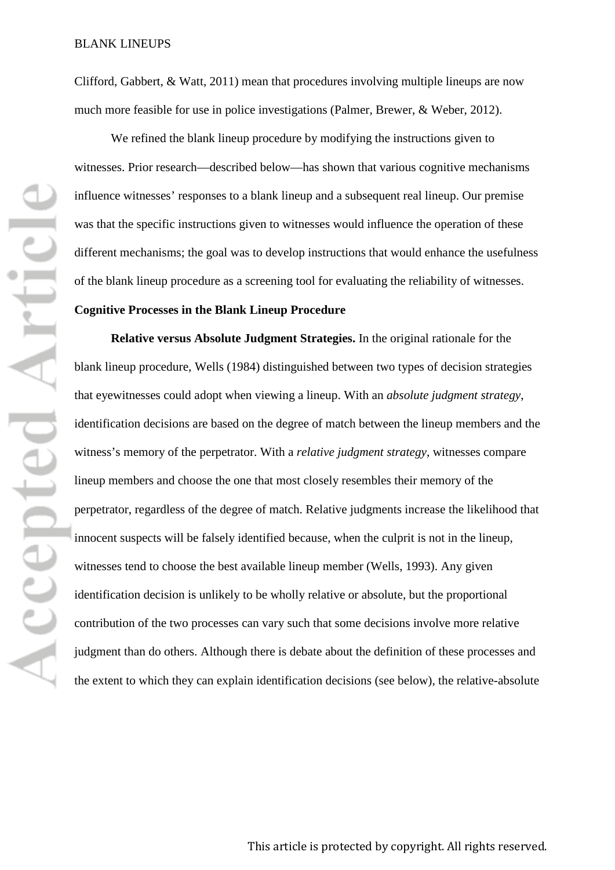Clifford, Gabbert, & Watt, 2011) mean that procedures involving multiple lineups are now much more feasible for use in police investigations (Palmer, Brewer, & Weber, 2012).

We refined the blank lineup procedure by modifying the instructions given to witnesses. Prior research—described below—has shown that various cognitive mechanisms influence witnesses' responses to a blank lineup and a subsequent real lineup. Our premise was that the specific instructions given to witnesses would influence the operation of these different mechanisms; the goal was to develop instructions that would enhance the usefulness of the blank lineup procedure as a screening tool for evaluating the reliability of witnesses.

### **Cognitive Processes in the Blank Lineup Procedure**

**Relative versus Absolute Judgment Strategies.** In the original rationale for the blank lineup procedure, Wells (1984) distinguished between two types of decision strategies that eyewitnesses could adopt when viewing a lineup. With an *absolute judgment strategy*, identification decisions are based on the degree of match between the lineup members and the witness's memory of the perpetrator. With a *relative judgment strategy*, witnesses compare lineup members and choose the one that most closely resembles their memory of the perpetrator, regardless of the degree of match. Relative judgments increase the likelihood that innocent suspects will be falsely identified because, when the culprit is not in the lineup, witnesses tend to choose the best available lineup member (Wells, 1993). Any given identification decision is unlikely to be wholly relative or absolute, but the proportional contribution of the two processes can vary such that some decisions involve more relative judgment than do others. Although there is debate about the definition of these processes and the extent to which they can explain identification decisions (see below), the relative-absolute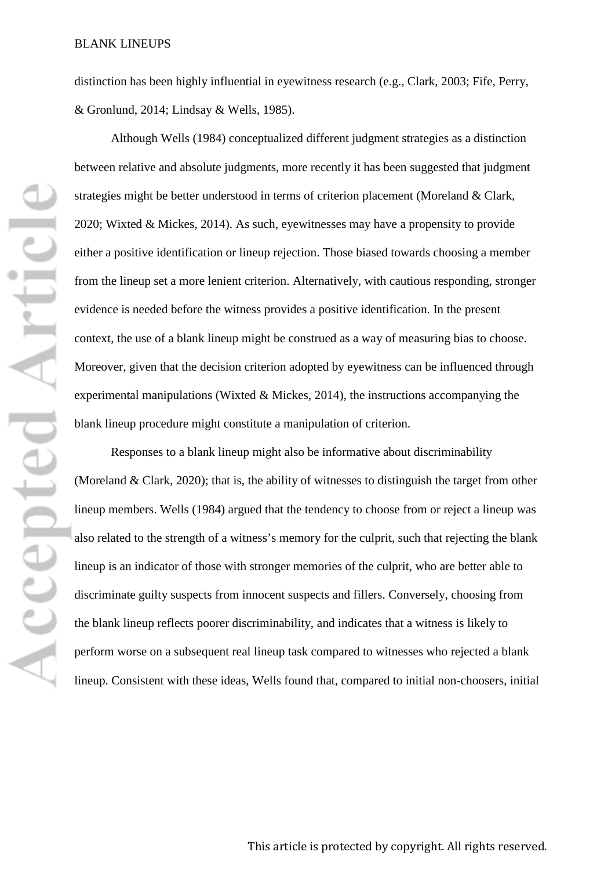distinction has been highly influential in eyewitness research (e.g., Clark, 2003; Fife, Perry, & Gronlund, 2014; Lindsay & Wells, 1985).

Although Wells (1984) conceptualized different judgment strategies as a distinction between relative and absolute judgments, more recently it has been suggested that judgment strategies might be better understood in terms of criterion placement (Moreland & Clark, 2020; Wixted & Mickes, 2014). As such, eyewitnesses may have a propensity to provide either a positive identification or lineup rejection. Those biased towards choosing a member from the lineup set a more lenient criterion. Alternatively, with cautious responding, stronger evidence is needed before the witness provides a positive identification. In the present context, the use of a blank lineup might be construed as a way of measuring bias to choose. Moreover, given that the decision criterion adopted by eyewitness can be influenced through experimental manipulations (Wixted  $\&$  Mickes, 2014), the instructions accompanying the blank lineup procedure might constitute a manipulation of criterion.

Responses to a blank lineup might also be informative about discriminability (Moreland & Clark, 2020); that is, the ability of witnesses to distinguish the target from other lineup members. Wells (1984) argued that the tendency to choose from or reject a lineup was also related to the strength of a witness's memory for the culprit, such that rejecting the blank lineup is an indicator of those with stronger memories of the culprit, who are better able to discriminate guilty suspects from innocent suspects and fillers. Conversely, choosing from the blank lineup reflects poorer discriminability, and indicates that a witness is likely to perform worse on a subsequent real lineup task compared to witnesses who rejected a blank lineup. Consistent with these ideas, Wells found that, compared to initial non-choosers, initial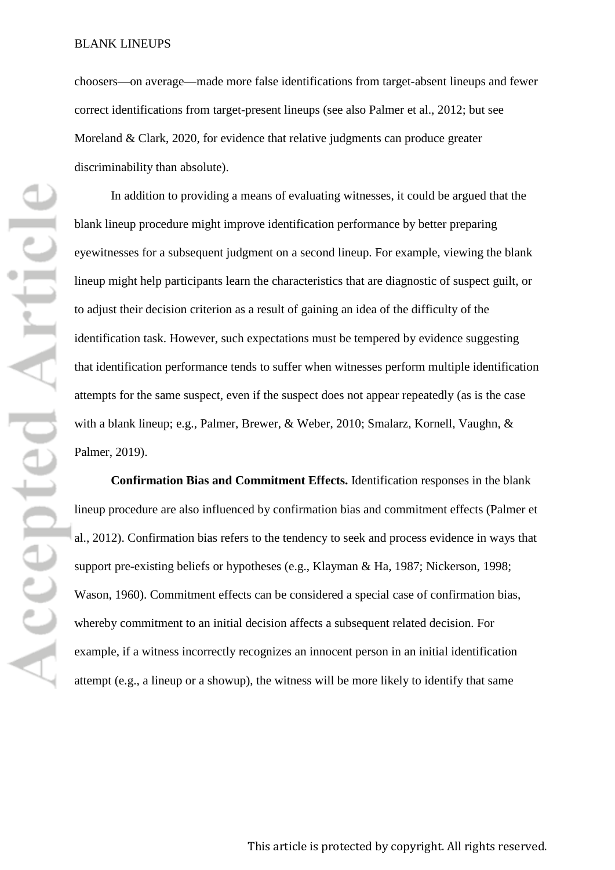choosers—on average—made more false identifications from target-absent lineups and fewer correct identifications from target-present lineups (see also Palmer et al., 2012; but see Moreland & Clark, 2020, for evidence that relative judgments can produce greater discriminability than absolute).

In addition to providing a means of evaluating witnesses, it could be argued that the blank lineup procedure might improve identification performance by better preparing eyewitnesses for a subsequent judgment on a second lineup. For example, viewing the blank lineup might help participants learn the characteristics that are diagnostic of suspect guilt, or to adjust their decision criterion as a result of gaining an idea of the difficulty of the identification task. However, such expectations must be tempered by evidence suggesting that identification performance tends to suffer when witnesses perform multiple identification attempts for the same suspect, even if the suspect does not appear repeatedly (as is the case with a blank lineup; e.g., Palmer, Brewer, & Weber, 2010; Smalarz, Kornell, Vaughn, & Palmer, 2019).

**Confirmation Bias and Commitment Effects.** Identification responses in the blank lineup procedure are also influenced by confirmation bias and commitment effects (Palmer et al., 2012). Confirmation bias refers to the tendency to seek and process evidence in ways that support pre-existing beliefs or hypotheses (e.g., Klayman & Ha, 1987; Nickerson, 1998; Wason, 1960). Commitment effects can be considered a special case of confirmation bias, whereby commitment to an initial decision affects a subsequent related decision. For example, if a witness incorrectly recognizes an innocent person in an initial identification attempt (e.g., a lineup or a showup), the witness will be more likely to identify that same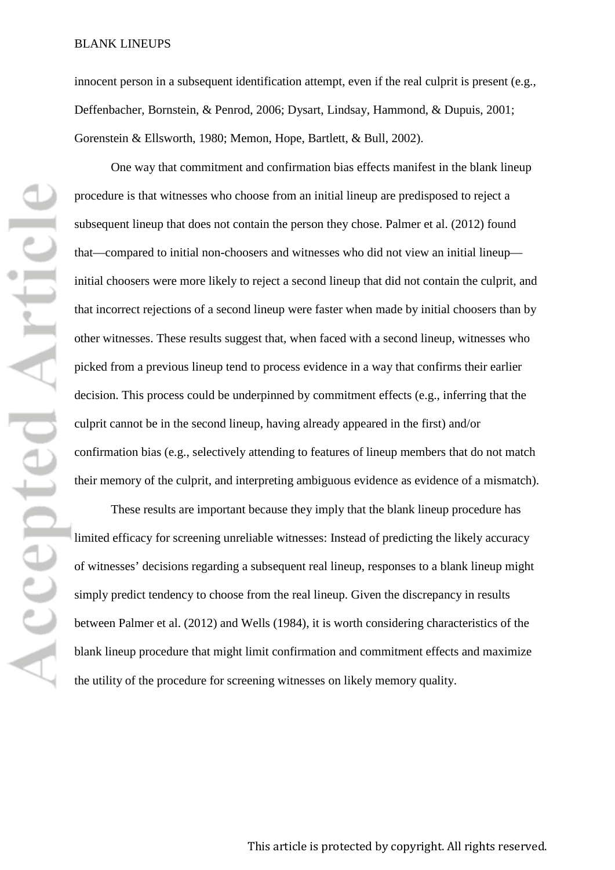innocent person in a subsequent identification attempt, even if the real culprit is present (e.g., Deffenbacher, Bornstein, & Penrod, 2006; Dysart, Lindsay, Hammond, & Dupuis, 2001; Gorenstein & Ellsworth, 1980; Memon, Hope, Bartlett, & Bull, 2002).

One way that commitment and confirmation bias effects manifest in the blank lineup procedure is that witnesses who choose from an initial lineup are predisposed to reject a subsequent lineup that does not contain the person they chose. Palmer et al. (2012) found that—compared to initial non-choosers and witnesses who did not view an initial lineup initial choosers were more likely to reject a second lineup that did not contain the culprit, and that incorrect rejections of a second lineup were faster when made by initial choosers than by other witnesses. These results suggest that, when faced with a second lineup, witnesses who picked from a previous lineup tend to process evidence in a way that confirms their earlier decision. This process could be underpinned by commitment effects (e.g., inferring that the culprit cannot be in the second lineup, having already appeared in the first) and/or confirmation bias (e.g., selectively attending to features of lineup members that do not match their memory of the culprit, and interpreting ambiguous evidence as evidence of a mismatch).

These results are important because they imply that the blank lineup procedure has limited efficacy for screening unreliable witnesses: Instead of predicting the likely accuracy of witnesses' decisions regarding a subsequent real lineup, responses to a blank lineup might simply predict tendency to choose from the real lineup. Given the discrepancy in results between Palmer et al. (2012) and Wells (1984), it is worth considering characteristics of the blank lineup procedure that might limit confirmation and commitment effects and maximize the utility of the procedure for screening witnesses on likely memory quality.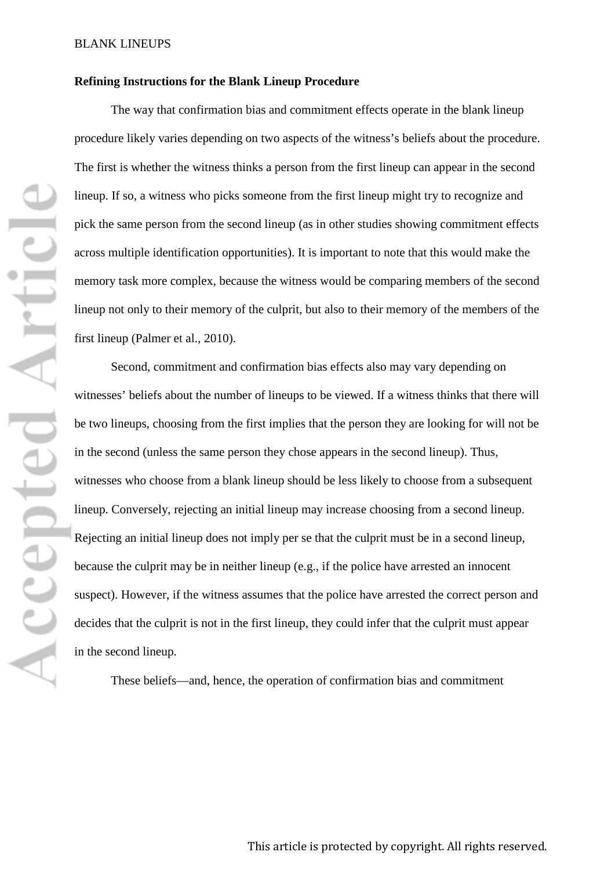### **Refining Instructions for the Blank Lineup Procedure**

The way that confirmation bias and commitment effects operate in the blank lineup procedure likely varies depending on two aspects of the witness's beliefs about the procedure. The first is whether the witness thinks a person from the first lineup can appear in the second lineup. If so, a witness who picks someone from the first lineup might try to recognize and pick the same person from the second lineup (as in other studies showing commitment effects across multiple identification opportunities). It is important to note that this would make the memory task more complex, because the witness would be comparing members of the second lineup not only to their memory of the culprit, but also to their memory of the members of the first lineup (Palmer et al., 2010).

Second, commitment and confirmation bias effects also may vary depending on witnesses' beliefs about the number of lineups to be viewed. If a witness thinks that there will be two lineups, choosing from the first implies that the person they are looking for will not be in the second (unless the same person they chose appears in the second lineup). Thus, witnesses who choose from a blank lineup should be less likely to choose from a subsequent lineup. Conversely, rejecting an initial lineup may increase choosing from a second lineup. Rejecting an initial lineup does not imply per se that the culprit must be in a second lineup, because the culprit may be in neither lineup (e.g., if the police have arrested an innocent suspect). However, if the witness assumes that the police have arrested the correct person and decides that the culprit is not in the first lineup, they could infer that the culprit must appear in the second lineup.

These beliefs—and, hence, the operation of confirmation bias and commitment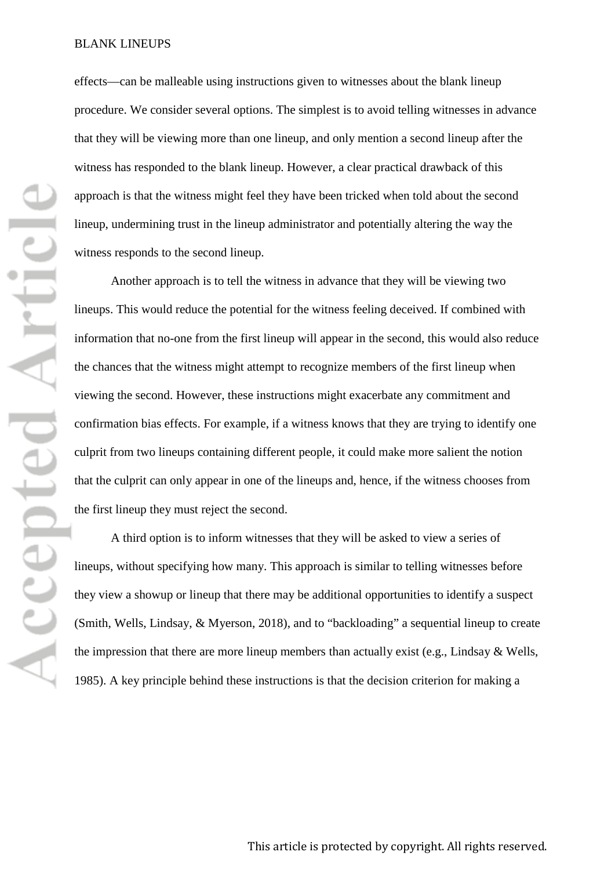effects—can be malleable using instructions given to witnesses about the blank lineup procedure. We consider several options. The simplest is to avoid telling witnesses in advance that they will be viewing more than one lineup, and only mention a second lineup after the witness has responded to the blank lineup. However, a clear practical drawback of this approach is that the witness might feel they have been tricked when told about the second lineup, undermining trust in the lineup administrator and potentially altering the way the witness responds to the second lineup.

Another approach is to tell the witness in advance that they will be viewing two lineups. This would reduce the potential for the witness feeling deceived. If combined with information that no-one from the first lineup will appear in the second, this would also reduce the chances that the witness might attempt to recognize members of the first lineup when viewing the second. However, these instructions might exacerbate any commitment and confirmation bias effects. For example, if a witness knows that they are trying to identify one culprit from two lineups containing different people, it could make more salient the notion that the culprit can only appear in one of the lineups and, hence, if the witness chooses from the first lineup they must reject the second.

A third option is to inform witnesses that they will be asked to view a series of lineups, without specifying how many. This approach is similar to telling witnesses before they view a showup or lineup that there may be additional opportunities to identify a suspect (Smith, Wells, Lindsay, & Myerson, 2018), and to "backloading" a sequential lineup to create the impression that there are more lineup members than actually exist (e.g., Lindsay & Wells, 1985). A key principle behind these instructions is that the decision criterion for making a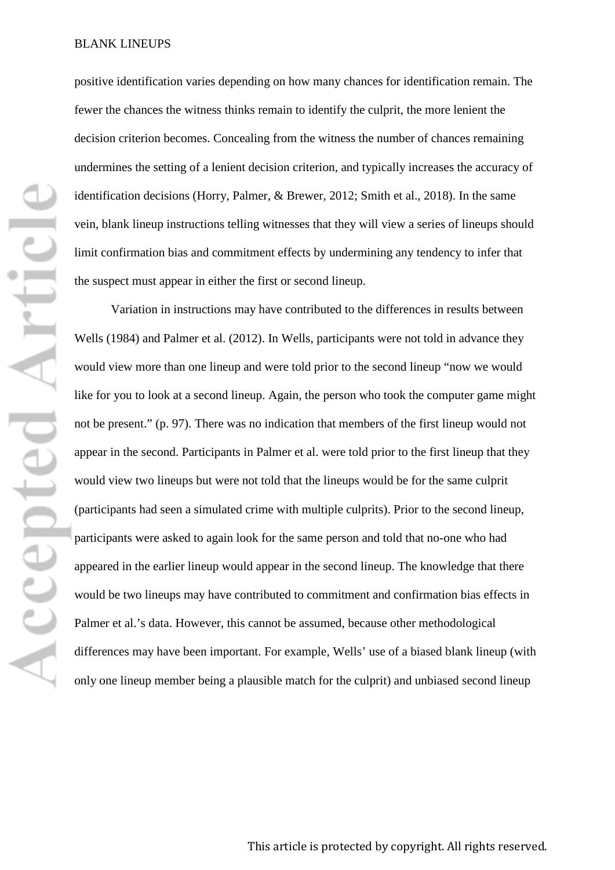positive identification varies depending on how many chances for identification remain. The fewer the chances the witness thinks remain to identify the culprit, the more lenient the decision criterion becomes. Concealing from the witness the number of chances remaining undermines the setting of a lenient decision criterion, and typically increases the accuracy of identification decisions (Horry, Palmer, & Brewer, 2012; Smith et al., 2018). In the same vein, blank lineup instructions telling witnesses that they will view a series of lineups should limit confirmation bias and commitment effects by undermining any tendency to infer that the suspect must appear in either the first or second lineup.

Variation in instructions may have contributed to the differences in results between Wells (1984) and Palmer et al. (2012). In Wells, participants were not told in advance they would view more than one lineup and were told prior to the second lineup "now we would like for you to look at a second lineup. Again, the person who took the computer game might not be present." (p. 97). There was no indication that members of the first lineup would not appear in the second. Participants in Palmer et al. were told prior to the first lineup that they would view two lineups but were not told that the lineups would be for the same culprit (participants had seen a simulated crime with multiple culprits). Prior to the second lineup, participants were asked to again look for the same person and told that no-one who had appeared in the earlier lineup would appear in the second lineup. The knowledge that there would be two lineups may have contributed to commitment and confirmation bias effects in Palmer et al.'s data. However, this cannot be assumed, because other methodological differences may have been important. For example, Wells' use of a biased blank lineup (with only one lineup member being a plausible match for the culprit) and unbiased second lineup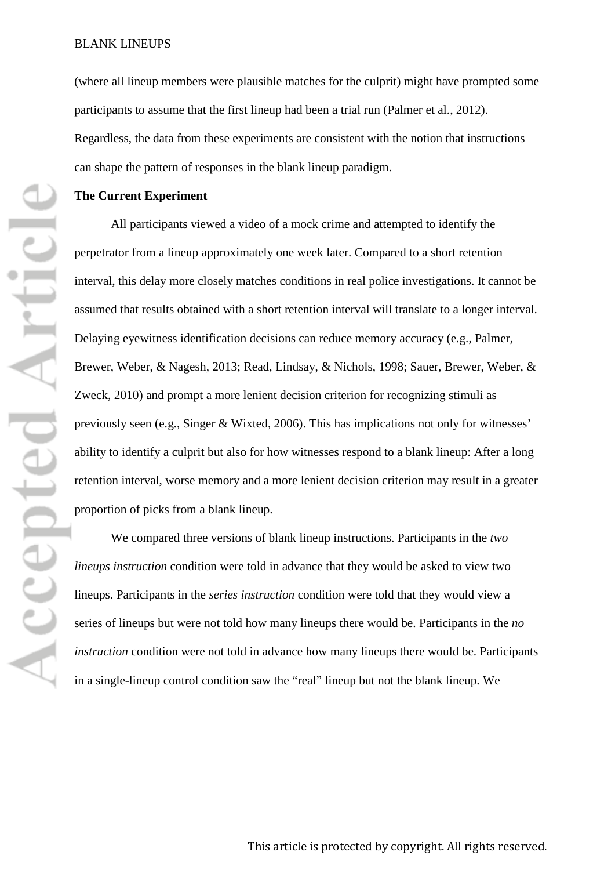(where all lineup members were plausible matches for the culprit) might have prompted some participants to assume that the first lineup had been a trial run (Palmer et al., 2012). Regardless, the data from these experiments are consistent with the notion that instructions can shape the pattern of responses in the blank lineup paradigm.

#### **The Current Experiment**

All participants viewed a video of a mock crime and attempted to identify the perpetrator from a lineup approximately one week later. Compared to a short retention interval, this delay more closely matches conditions in real police investigations. It cannot be assumed that results obtained with a short retention interval will translate to a longer interval. Delaying eyewitness identification decisions can reduce memory accuracy (e.g., Palmer, Brewer, Weber, & Nagesh, 2013; Read, Lindsay, & Nichols, 1998; Sauer, Brewer, Weber, & Zweck, 2010) and prompt a more lenient decision criterion for recognizing stimuli as previously seen (e.g., Singer & Wixted, 2006). This has implications not only for witnesses' ability to identify a culprit but also for how witnesses respond to a blank lineup: After a long retention interval, worse memory and a more lenient decision criterion may result in a greater proportion of picks from a blank lineup.

We compared three versions of blank lineup instructions. Participants in the *two lineups instruction* condition were told in advance that they would be asked to view two lineups. Participants in the *series instruction* condition were told that they would view a series of lineups but were not told how many lineups there would be. Participants in the *no instruction* condition were not told in advance how many lineups there would be. Participants in a single-lineup control condition saw the "real" lineup but not the blank lineup. We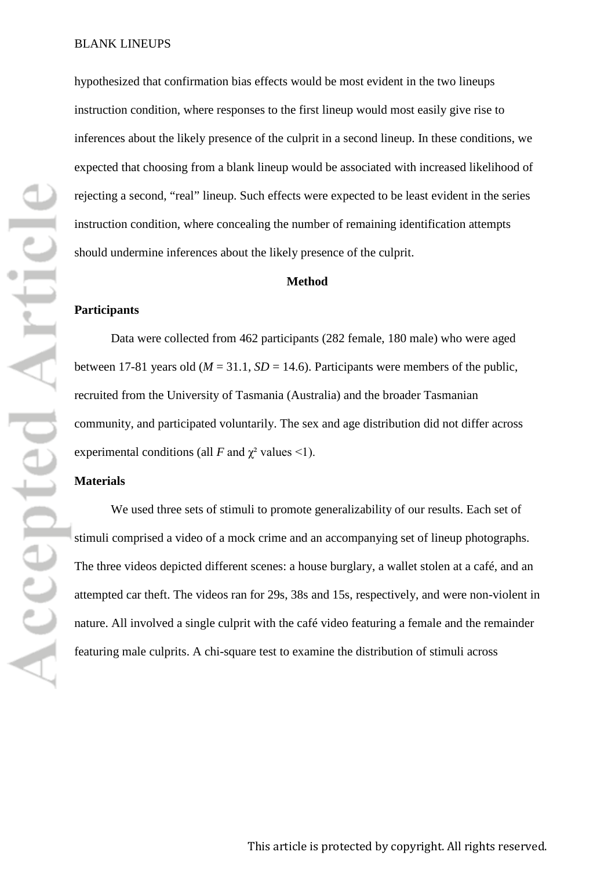hypothesized that confirmation bias effects would be most evident in the two lineups instruction condition, where responses to the first lineup would most easily give rise to inferences about the likely presence of the culprit in a second lineup. In these conditions, we expected that choosing from a blank lineup would be associated with increased likelihood of rejecting a second, "real" lineup. Such effects were expected to be least evident in the series instruction condition, where concealing the number of remaining identification attempts should undermine inferences about the likely presence of the culprit.

#### **Method**

#### **Participants**

Data were collected from 462 participants (282 female, 180 male) who were aged between 17-81 years old ( $M = 31.1$ ,  $SD = 14.6$ ). Participants were members of the public, recruited from the University of Tasmania (Australia) and the broader Tasmanian community, and participated voluntarily. The sex and age distribution did not differ across experimental conditions (all *F* and  $\chi^2$  values <1).

### **Materials**

We used three sets of stimuli to promote generalizability of our results. Each set of stimuli comprised a video of a mock crime and an accompanying set of lineup photographs. The three videos depicted different scenes: a house burglary, a wallet stolen at a café, and an attempted car theft. The videos ran for 29s, 38s and 15s, respectively, and were non-violent in nature. All involved a single culprit with the café video featuring a female and the remainder featuring male culprits. A chi-square test to examine the distribution of stimuli across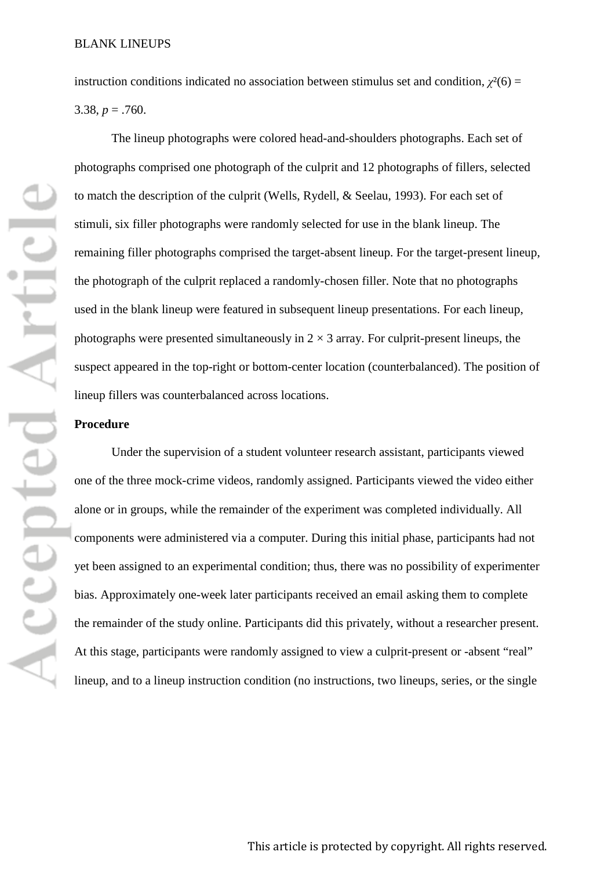instruction conditions indicated no association between stimulus set and condition,  $\chi^2(6)$  = 3.38,  $p = .760$ .

The lineup photographs were colored head-and-shoulders photographs. Each set of photographs comprised one photograph of the culprit and 12 photographs of fillers, selected to match the description of the culprit (Wells, Rydell, & Seelau, 1993). For each set of stimuli, six filler photographs were randomly selected for use in the blank lineup. The remaining filler photographs comprised the target-absent lineup. For the target-present lineup, the photograph of the culprit replaced a randomly-chosen filler. Note that no photographs used in the blank lineup were featured in subsequent lineup presentations. For each lineup, photographs were presented simultaneously in  $2 \times 3$  array. For culprit-present lineups, the suspect appeared in the top-right or bottom-center location (counterbalanced). The position of lineup fillers was counterbalanced across locations.

### **Procedure**

Under the supervision of a student volunteer research assistant, participants viewed one of the three mock-crime videos, randomly assigned. Participants viewed the video either alone or in groups, while the remainder of the experiment was completed individually. All components were administered via a computer. During this initial phase, participants had not yet been assigned to an experimental condition; thus, there was no possibility of experimenter bias. Approximately one-week later participants received an email asking them to complete the remainder of the study online. Participants did this privately, without a researcher present. At this stage, participants were randomly assigned to view a culprit-present or -absent "real" lineup, and to a lineup instruction condition (no instructions, two lineups, series, or the single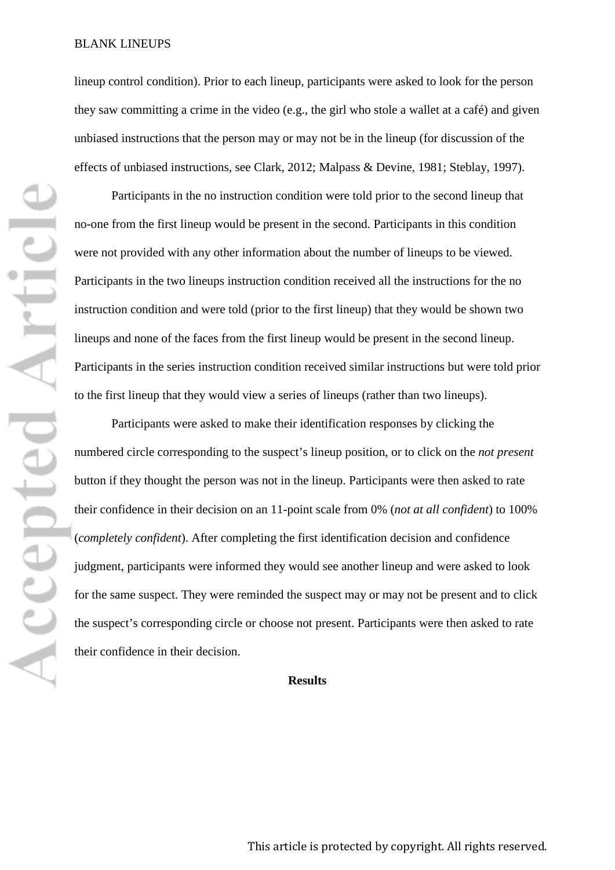lineup control condition). Prior to each lineup, participants were asked to look for the person they saw committing a crime in the video (e.g., the girl who stole a wallet at a café) and given unbiased instructions that the person may or may not be in the lineup (for discussion of the effects of unbiased instructions, see Clark, 2012; Malpass & Devine, 1981; Steblay, 1997).

Participants in the no instruction condition were told prior to the second lineup that no-one from the first lineup would be present in the second. Participants in this condition were not provided with any other information about the number of lineups to be viewed. Participants in the two lineups instruction condition received all the instructions for the no instruction condition and were told (prior to the first lineup) that they would be shown two lineups and none of the faces from the first lineup would be present in the second lineup. Participants in the series instruction condition received similar instructions but were told prior to the first lineup that they would view a series of lineups (rather than two lineups).

Participants were asked to make their identification responses by clicking the numbered circle corresponding to the suspect's lineup position, or to click on the *not present* button if they thought the person was not in the lineup. Participants were then asked to rate their confidence in their decision on an 11-point scale from 0% (*not at all confident*) to 100% (*completely confident*). After completing the first identification decision and confidence judgment, participants were informed they would see another lineup and were asked to look for the same suspect. They were reminded the suspect may or may not be present and to click the suspect's corresponding circle or choose not present. Participants were then asked to rate their confidence in their decision.

### **Results**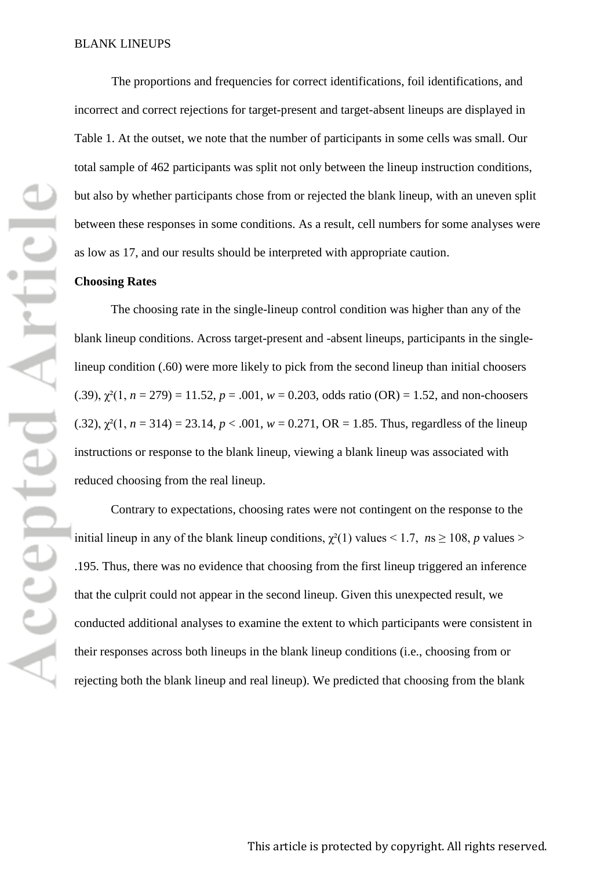The proportions and frequencies for correct identifications, foil identifications, and incorrect and correct rejections for target-present and target-absent lineups are displayed in Table 1. At the outset, we note that the number of participants in some cells was small. Our total sample of 462 participants was split not only between the lineup instruction conditions, but also by whether participants chose from or rejected the blank lineup, with an uneven split between these responses in some conditions. As a result, cell numbers for some analyses were as low as 17, and our results should be interpreted with appropriate caution.

### **Choosing Rates**

The choosing rate in the single-lineup control condition was higher than any of the blank lineup conditions. Across target-present and -absent lineups, participants in the singlelineup condition (.60) were more likely to pick from the second lineup than initial choosers (.39),  $\gamma^2(1, n = 279) = 11.52$ ,  $p = .001$ ,  $w = 0.203$ , odds ratio (OR) = 1.52, and non-choosers (.32),  $\chi^2(1, n = 314) = 23.14$ ,  $p < .001$ ,  $w = 0.271$ , OR = 1.85. Thus, regardless of the lineup instructions or response to the blank lineup, viewing a blank lineup was associated with reduced choosing from the real lineup.

Contrary to expectations, choosing rates were not contingent on the response to the initial lineup in any of the blank lineup conditions,  $\chi^2(1)$  values < 1.7,  $n s \ge 108$ , *p* values > .195. Thus, there was no evidence that choosing from the first lineup triggered an inference that the culprit could not appear in the second lineup. Given this unexpected result, we conducted additional analyses to examine the extent to which participants were consistent in their responses across both lineups in the blank lineup conditions (i.e., choosing from or rejecting both the blank lineup and real lineup). We predicted that choosing from the blank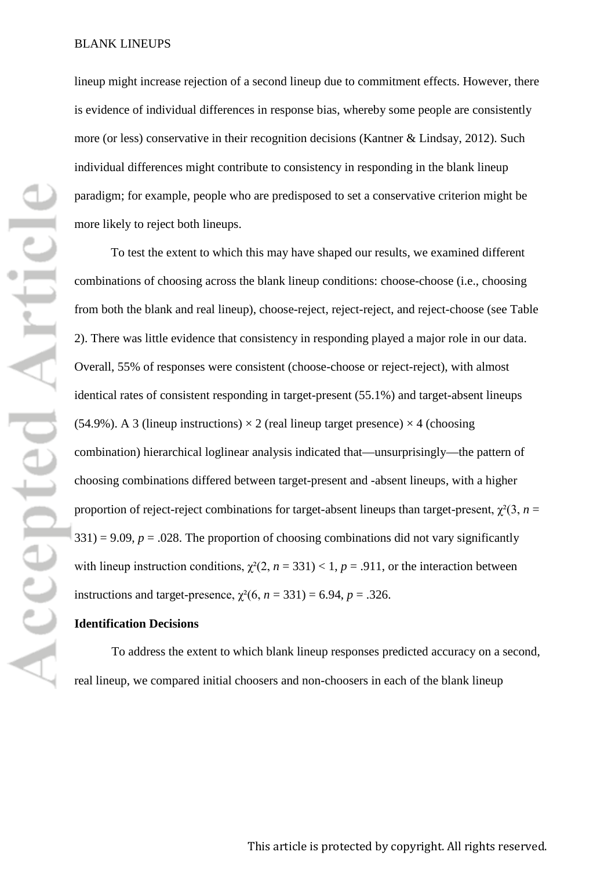lineup might increase rejection of a second lineup due to commitment effects. However, there is evidence of individual differences in response bias, whereby some people are consistently more (or less) conservative in their recognition decisions (Kantner & Lindsay, 2012). Such individual differences might contribute to consistency in responding in the blank lineup paradigm; for example, people who are predisposed to set a conservative criterion might be more likely to reject both lineups.

To test the extent to which this may have shaped our results, we examined different combinations of choosing across the blank lineup conditions: choose-choose (i.e., choosing from both the blank and real lineup), choose-reject, reject-reject, and reject-choose (see Table 2). There was little evidence that consistency in responding played a major role in our data. Overall, 55% of responses were consistent (choose-choose or reject-reject), with almost identical rates of consistent responding in target-present (55.1%) and target-absent lineups (54.9%). A 3 (lineup instructions)  $\times$  2 (real lineup target presence)  $\times$  4 (choosing combination) hierarchical loglinear analysis indicated that—unsurprisingly—the pattern of choosing combinations differed between target-present and -absent lineups, with a higher proportion of reject-reject combinations for target-absent lineups than target-present,  $\chi^2(3, n =$  $331$ ) = 9.09,  $p = 0.028$ . The proportion of choosing combinations did not vary significantly with lineup instruction conditions,  $\chi^2(2, n = 331) < 1, p = .911$ , or the interaction between instructions and target-presence,  $\chi^2(6, n = 331) = 6.94$ ,  $p = .326$ .

### **Identification Decisions**

To address the extent to which blank lineup responses predicted accuracy on a second, real lineup, we compared initial choosers and non-choosers in each of the blank lineup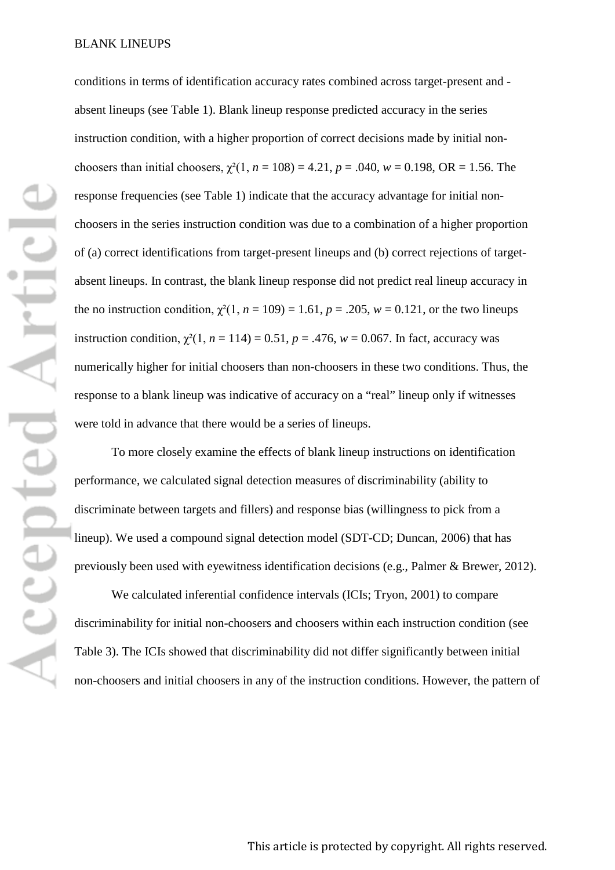conditions in terms of identification accuracy rates combined across target-present and absent lineups (see Table 1). Blank lineup response predicted accuracy in the series instruction condition, with a higher proportion of correct decisions made by initial nonchoosers than initial choosers,  $\gamma^2(1, n = 108) = 4.21$ ,  $p = .040$ ,  $w = 0.198$ , OR = 1.56. The response frequencies (see Table 1) indicate that the accuracy advantage for initial nonchoosers in the series instruction condition was due to a combination of a higher proportion of (a) correct identifications from target-present lineups and (b) correct rejections of targetabsent lineups. In contrast, the blank lineup response did not predict real lineup accuracy in the no instruction condition,  $\chi^2(1, n = 109) = 1.61$ ,  $p = .205$ ,  $w = 0.121$ , or the two lineups instruction condition,  $\chi^2(1, n = 114) = 0.51$ ,  $p = .476$ ,  $w = 0.067$ . In fact, accuracy was numerically higher for initial choosers than non-choosers in these two conditions. Thus, the response to a blank lineup was indicative of accuracy on a "real" lineup only if witnesses were told in advance that there would be a series of lineups.

To more closely examine the effects of blank lineup instructions on identification performance, we calculated signal detection measures of discriminability (ability to discriminate between targets and fillers) and response bias (willingness to pick from a lineup). We used a compound signal detection model (SDT-CD; Duncan, 2006) that has previously been used with eyewitness identification decisions (e.g., Palmer & Brewer, 2012).

We calculated inferential confidence intervals (ICIs; Tryon, 2001) to compare discriminability for initial non-choosers and choosers within each instruction condition (see Table 3). The ICIs showed that discriminability did not differ significantly between initial non-choosers and initial choosers in any of the instruction conditions. However, the pattern of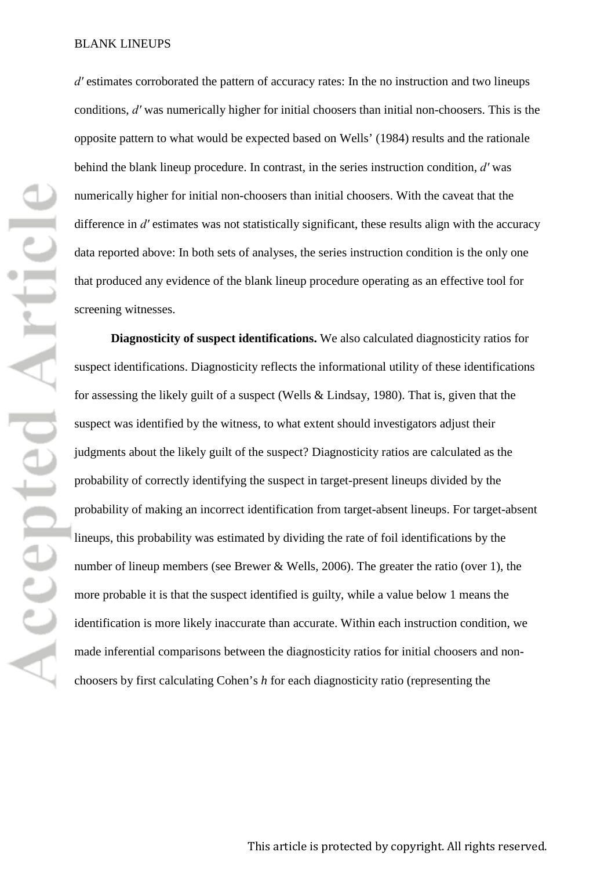*dʹ* estimates corroborated the pattern of accuracy rates: In the no instruction and two lineups conditions, *dʹ* was numerically higher for initial choosers than initial non-choosers. This is the opposite pattern to what would be expected based on Wells' (1984) results and the rationale behind the blank lineup procedure. In contrast, in the series instruction condition, *dʹ* was numerically higher for initial non-choosers than initial choosers. With the caveat that the difference in *d'* estimates was not statistically significant, these results align with the accuracy data reported above: In both sets of analyses, the series instruction condition is the only one that produced any evidence of the blank lineup procedure operating as an effective tool for screening witnesses.

**Diagnosticity of suspect identifications.** We also calculated diagnosticity ratios for suspect identifications. Diagnosticity reflects the informational utility of these identifications for assessing the likely guilt of a suspect (Wells & Lindsay, 1980). That is, given that the suspect was identified by the witness, to what extent should investigators adjust their judgments about the likely guilt of the suspect? Diagnosticity ratios are calculated as the probability of correctly identifying the suspect in target-present lineups divided by the probability of making an incorrect identification from target-absent lineups. For target-absent lineups, this probability was estimated by dividing the rate of foil identifications by the number of lineup members (see Brewer & Wells, 2006). The greater the ratio (over 1), the more probable it is that the suspect identified is guilty, while a value below 1 means the identification is more likely inaccurate than accurate. Within each instruction condition, we made inferential comparisons between the diagnosticity ratios for initial choosers and nonchoosers by first calculating Cohen's *h* for each diagnosticity ratio (representing the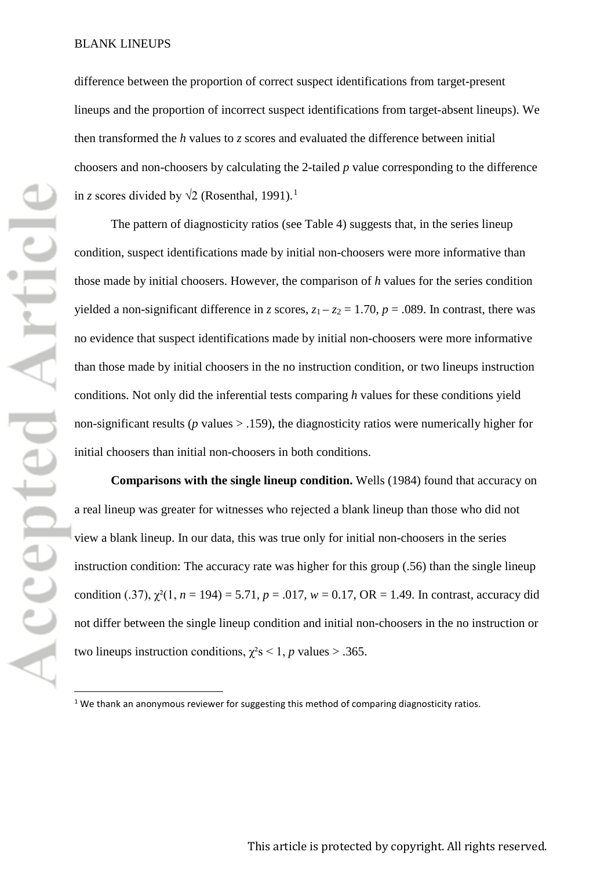difference between the proportion of correct suspect identifications from target-present lineups and the proportion of incorrect suspect identifications from target-absent lineups). We then transformed the *h* values to *z* scores and evaluated the difference between initial choosers and non-choosers by calculating the 2-tailed *p* value corresponding to the difference in *z* scores divided by  $\sqrt{2}$  (Rosenthal, [1](#page-19-0)991).<sup>1</sup>

The pattern of diagnosticity ratios (see Table 4) suggests that, in the series lineup condition, suspect identifications made by initial non-choosers were more informative than those made by initial choosers. However, the comparison of *h* values for the series condition yielded a non-significant difference in *z* scores,  $z_1 - z_2 = 1.70$ ,  $p = .089$ . In contrast, there was no evidence that suspect identifications made by initial non-choosers were more informative than those made by initial choosers in the no instruction condition, or two lineups instruction conditions. Not only did the inferential tests comparing *h* values for these conditions yield non-significant results ( $p$  values  $>$  .159), the diagnosticity ratios were numerically higher for initial choosers than initial non-choosers in both conditions.

**Comparisons with the single lineup condition.** Wells (1984) found that accuracy on a real lineup was greater for witnesses who rejected a blank lineup than those who did not view a blank lineup. In our data, this was true only for initial non-choosers in the series instruction condition: The accuracy rate was higher for this group (.56) than the single lineup condition (.37),  $\chi^2(1, n = 194) = 5.71$ ,  $p = .017$ ,  $w = 0.17$ ,  $OR = 1.49$ . In contrast, accuracy did not differ between the single lineup condition and initial non-choosers in the no instruction or two lineups instruction conditions,  $\chi^2$ s < 1, *p* values > .365.

<span id="page-19-0"></span> $1$  We thank an anonymous reviewer for suggesting this method of comparing diagnosticity ratios.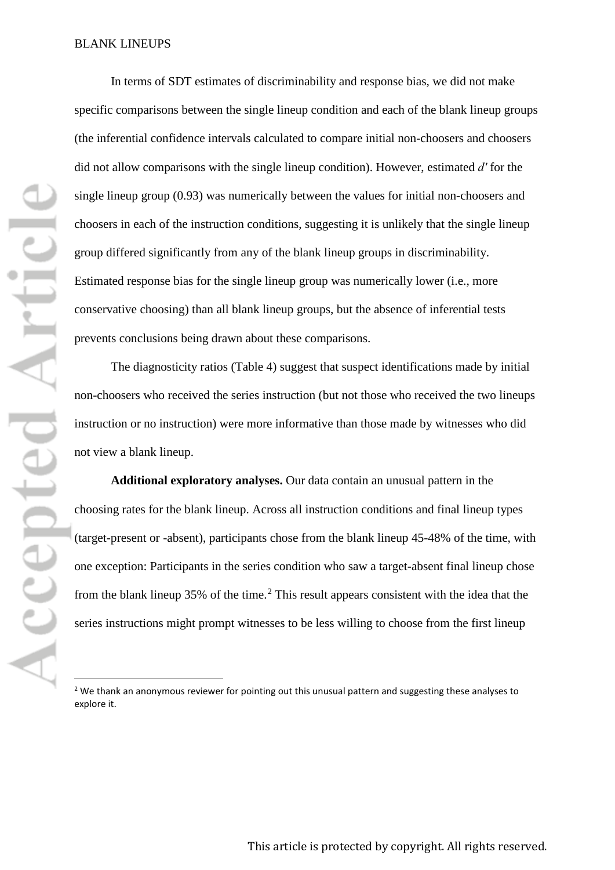In terms of SDT estimates of discriminability and response bias, we did not make specific comparisons between the single lineup condition and each of the blank lineup groups (the inferential confidence intervals calculated to compare initial non-choosers and choosers did not allow comparisons with the single lineup condition). However, estimated *dʹ* for the single lineup group (0.93) was numerically between the values for initial non-choosers and choosers in each of the instruction conditions, suggesting it is unlikely that the single lineup group differed significantly from any of the blank lineup groups in discriminability. Estimated response bias for the single lineup group was numerically lower (i.e., more conservative choosing) than all blank lineup groups, but the absence of inferential tests prevents conclusions being drawn about these comparisons.

The diagnosticity ratios (Table 4) suggest that suspect identifications made by initial non-choosers who received the series instruction (but not those who received the two lineups instruction or no instruction) were more informative than those made by witnesses who did not view a blank lineup.

**Additional exploratory analyses.** Our data contain an unusual pattern in the choosing rates for the blank lineup. Across all instruction conditions and final lineup types (target-present or -absent), participants chose from the blank lineup 45-48% of the time, with one exception: Participants in the series condition who saw a target-absent final lineup chose from the blank lineup  $35\%$  of the time.<sup>[2](#page-20-0)</sup> This result appears consistent with the idea that the series instructions might prompt witnesses to be less willing to choose from the first lineup

<span id="page-20-0"></span><sup>&</sup>lt;sup>2</sup> We thank an anonymous reviewer for pointing out this unusual pattern and suggesting these analyses to explore it.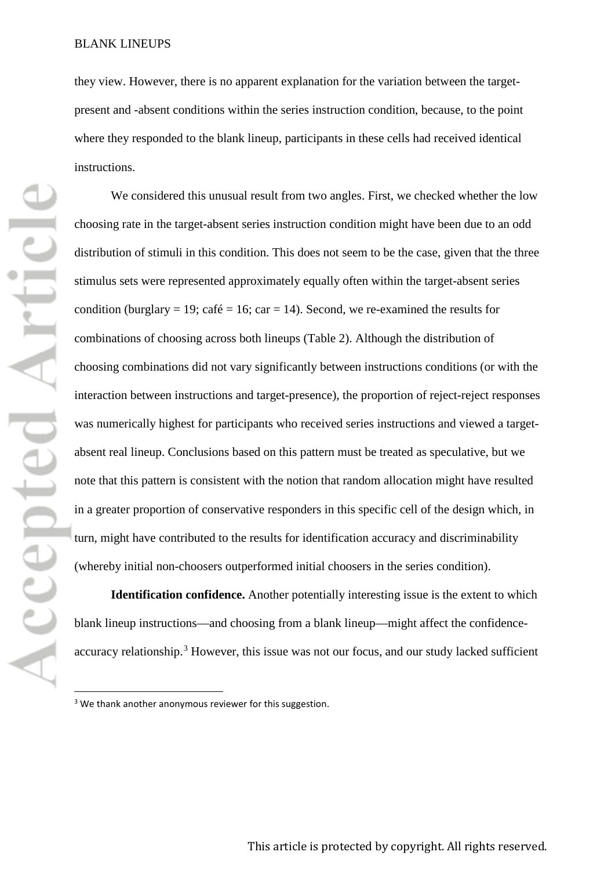they view. However, there is no apparent explanation for the variation between the targetpresent and -absent conditions within the series instruction condition, because, to the point where they responded to the blank lineup, participants in these cells had received identical instructions.

We considered this unusual result from two angles. First, we checked whether the low choosing rate in the target-absent series instruction condition might have been due to an odd distribution of stimuli in this condition. This does not seem to be the case, given that the three stimulus sets were represented approximately equally often within the target-absent series condition (burglary = 19; café = 16; car = 14). Second, we re-examined the results for combinations of choosing across both lineups (Table 2). Although the distribution of choosing combinations did not vary significantly between instructions conditions (or with the interaction between instructions and target-presence), the proportion of reject-reject responses was numerically highest for participants who received series instructions and viewed a targetabsent real lineup. Conclusions based on this pattern must be treated as speculative, but we note that this pattern is consistent with the notion that random allocation might have resulted in a greater proportion of conservative responders in this specific cell of the design which, in turn, might have contributed to the results for identification accuracy and discriminability (whereby initial non-choosers outperformed initial choosers in the series condition).

**Identification confidence.** Another potentially interesting issue is the extent to which blank lineup instructions—and choosing from a blank lineup—might affect the confidence-accuracy relationship.<sup>[3](#page-21-0)</sup> However, this issue was not our focus, and our study lacked sufficient

<span id="page-21-0"></span><sup>&</sup>lt;sup>3</sup> We thank another anonymous reviewer for this suggestion.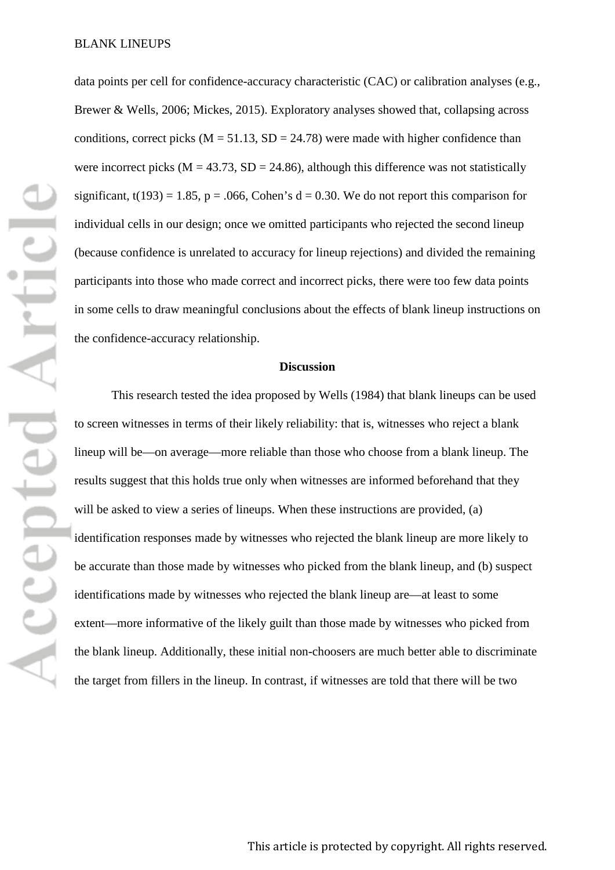data points per cell for confidence-accuracy characteristic (CAC) or calibration analyses (e.g., Brewer & Wells, 2006; Mickes, 2015). Exploratory analyses showed that, collapsing across conditions, correct picks ( $M = 51.13$ ,  $SD = 24.78$ ) were made with higher confidence than were incorrect picks ( $M = 43.73$ ,  $SD = 24.86$ ), although this difference was not statistically significant,  $t(193) = 1.85$ ,  $p = .066$ , Cohen's  $d = 0.30$ . We do not report this comparison for individual cells in our design; once we omitted participants who rejected the second lineup (because confidence is unrelated to accuracy for lineup rejections) and divided the remaining participants into those who made correct and incorrect picks, there were too few data points in some cells to draw meaningful conclusions about the effects of blank lineup instructions on the confidence-accuracy relationship.

### **Discussion**

This research tested the idea proposed by Wells (1984) that blank lineups can be used to screen witnesses in terms of their likely reliability: that is, witnesses who reject a blank lineup will be—on average—more reliable than those who choose from a blank lineup. The results suggest that this holds true only when witnesses are informed beforehand that they will be asked to view a series of lineups. When these instructions are provided, (a) identification responses made by witnesses who rejected the blank lineup are more likely to be accurate than those made by witnesses who picked from the blank lineup, and (b) suspect identifications made by witnesses who rejected the blank lineup are—at least to some extent—more informative of the likely guilt than those made by witnesses who picked from the blank lineup. Additionally, these initial non-choosers are much better able to discriminate the target from fillers in the lineup. In contrast, if witnesses are told that there will be two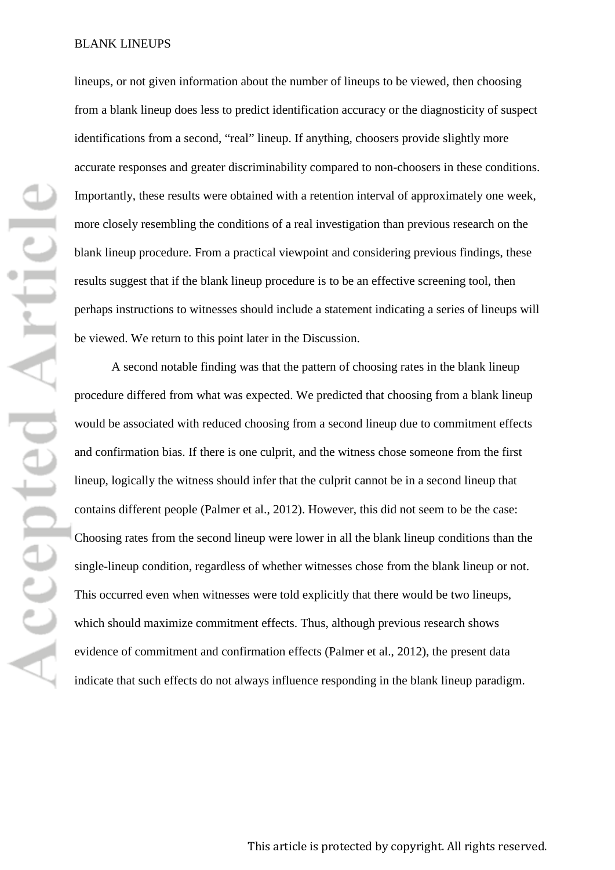lineups, or not given information about the number of lineups to be viewed, then choosing from a blank lineup does less to predict identification accuracy or the diagnosticity of suspect identifications from a second, "real" lineup. If anything, choosers provide slightly more accurate responses and greater discriminability compared to non-choosers in these conditions. Importantly, these results were obtained with a retention interval of approximately one week, more closely resembling the conditions of a real investigation than previous research on the blank lineup procedure. From a practical viewpoint and considering previous findings, these results suggest that if the blank lineup procedure is to be an effective screening tool, then perhaps instructions to witnesses should include a statement indicating a series of lineups will be viewed. We return to this point later in the Discussion.

A second notable finding was that the pattern of choosing rates in the blank lineup procedure differed from what was expected. We predicted that choosing from a blank lineup would be associated with reduced choosing from a second lineup due to commitment effects and confirmation bias. If there is one culprit, and the witness chose someone from the first lineup, logically the witness should infer that the culprit cannot be in a second lineup that contains different people (Palmer et al., 2012). However, this did not seem to be the case: Choosing rates from the second lineup were lower in all the blank lineup conditions than the single-lineup condition, regardless of whether witnesses chose from the blank lineup or not. This occurred even when witnesses were told explicitly that there would be two lineups, which should maximize commitment effects. Thus, although previous research shows evidence of commitment and confirmation effects (Palmer et al., 2012), the present data indicate that such effects do not always influence responding in the blank lineup paradigm.

Accepted Articl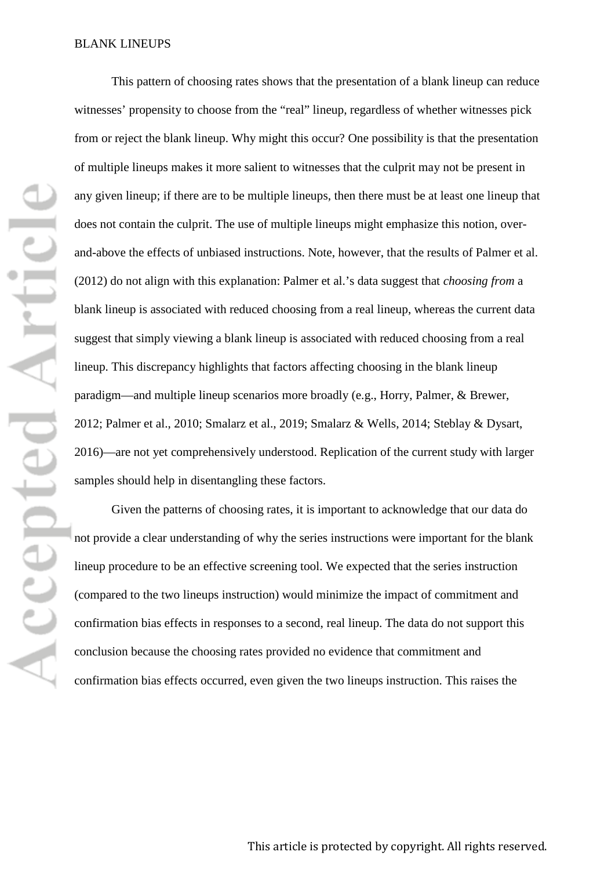Accepted Articl

This pattern of choosing rates shows that the presentation of a blank lineup can reduce witnesses' propensity to choose from the "real" lineup, regardless of whether witnesses pick from or reject the blank lineup. Why might this occur? One possibility is that the presentation of multiple lineups makes it more salient to witnesses that the culprit may not be present in any given lineup; if there are to be multiple lineups, then there must be at least one lineup that does not contain the culprit. The use of multiple lineups might emphasize this notion, overand-above the effects of unbiased instructions. Note, however, that the results of Palmer et al. (2012) do not align with this explanation: Palmer et al.'s data suggest that *choosing from* a blank lineup is associated with reduced choosing from a real lineup, whereas the current data suggest that simply viewing a blank lineup is associated with reduced choosing from a real lineup. This discrepancy highlights that factors affecting choosing in the blank lineup paradigm—and multiple lineup scenarios more broadly (e.g., Horry, Palmer, & Brewer, 2012; Palmer et al., 2010; Smalarz et al., 2019; Smalarz & Wells, 2014; Steblay & Dysart, 2016)—are not yet comprehensively understood. Replication of the current study with larger samples should help in disentangling these factors.

Given the patterns of choosing rates, it is important to acknowledge that our data do not provide a clear understanding of why the series instructions were important for the blank lineup procedure to be an effective screening tool. We expected that the series instruction (compared to the two lineups instruction) would minimize the impact of commitment and confirmation bias effects in responses to a second, real lineup. The data do not support this conclusion because the choosing rates provided no evidence that commitment and confirmation bias effects occurred, even given the two lineups instruction. This raises the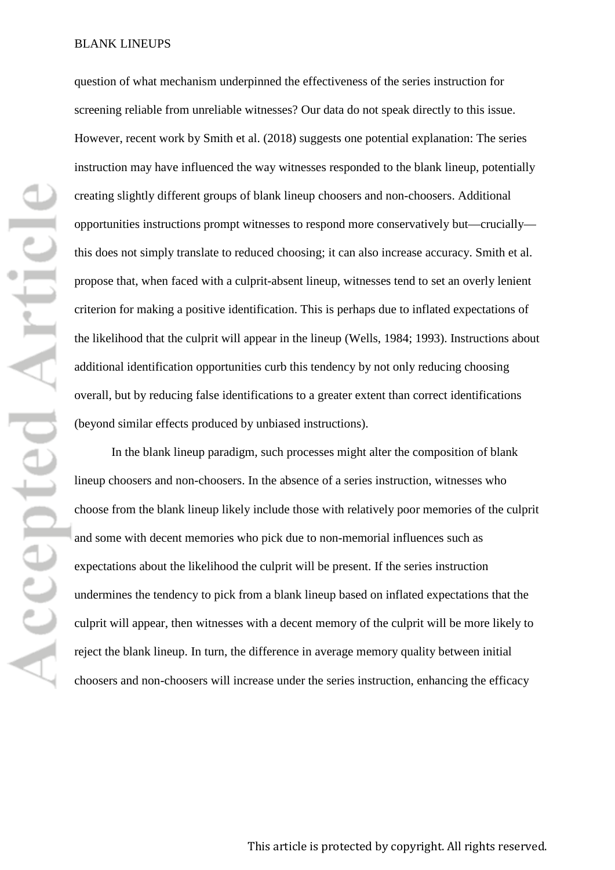question of what mechanism underpinned the effectiveness of the series instruction for screening reliable from unreliable witnesses? Our data do not speak directly to this issue. However, recent work by Smith et al. (2018) suggests one potential explanation: The series instruction may have influenced the way witnesses responded to the blank lineup, potentially creating slightly different groups of blank lineup choosers and non-choosers. Additional opportunities instructions prompt witnesses to respond more conservatively but—crucially this does not simply translate to reduced choosing; it can also increase accuracy. Smith et al. propose that, when faced with a culprit-absent lineup, witnesses tend to set an overly lenient criterion for making a positive identification. This is perhaps due to inflated expectations of the likelihood that the culprit will appear in the lineup (Wells, 1984; 1993). Instructions about additional identification opportunities curb this tendency by not only reducing choosing overall, but by reducing false identifications to a greater extent than correct identifications (beyond similar effects produced by unbiased instructions).

In the blank lineup paradigm, such processes might alter the composition of blank lineup choosers and non-choosers. In the absence of a series instruction, witnesses who choose from the blank lineup likely include those with relatively poor memories of the culprit and some with decent memories who pick due to non-memorial influences such as expectations about the likelihood the culprit will be present. If the series instruction undermines the tendency to pick from a blank lineup based on inflated expectations that the culprit will appear, then witnesses with a decent memory of the culprit will be more likely to reject the blank lineup. In turn, the difference in average memory quality between initial choosers and non-choosers will increase under the series instruction, enhancing the efficacy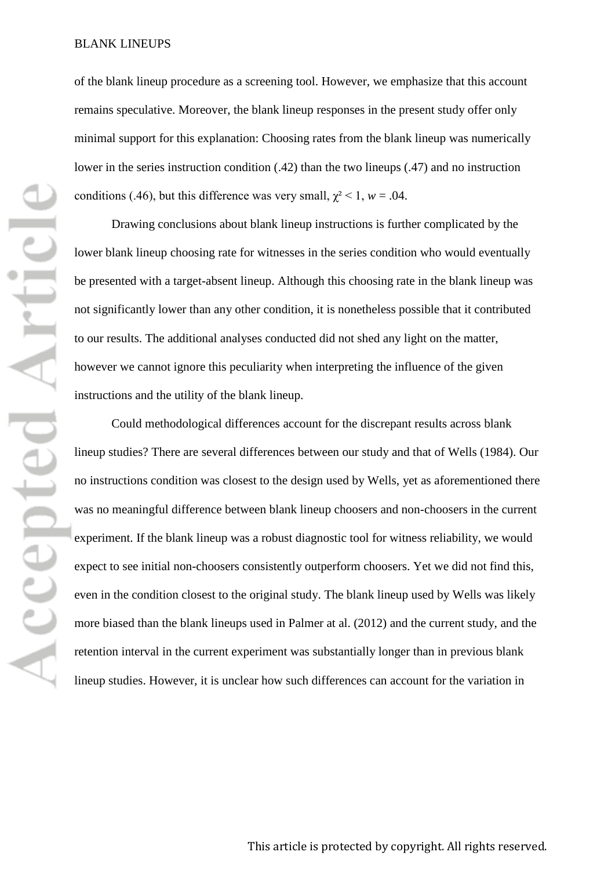of the blank lineup procedure as a screening tool. However, we emphasize that this account remains speculative. Moreover, the blank lineup responses in the present study offer only minimal support for this explanation: Choosing rates from the blank lineup was numerically lower in the series instruction condition (.42) than the two lineups (.47) and no instruction conditions (.46), but this difference was very small,  $\chi^2$  < 1, *w* = .04.

Drawing conclusions about blank lineup instructions is further complicated by the lower blank lineup choosing rate for witnesses in the series condition who would eventually be presented with a target-absent lineup. Although this choosing rate in the blank lineup was not significantly lower than any other condition, it is nonetheless possible that it contributed to our results. The additional analyses conducted did not shed any light on the matter, however we cannot ignore this peculiarity when interpreting the influence of the given instructions and the utility of the blank lineup.

Could methodological differences account for the discrepant results across blank lineup studies? There are several differences between our study and that of Wells (1984). Our no instructions condition was closest to the design used by Wells, yet as aforementioned there was no meaningful difference between blank lineup choosers and non-choosers in the current experiment. If the blank lineup was a robust diagnostic tool for witness reliability, we would expect to see initial non-choosers consistently outperform choosers. Yet we did not find this, even in the condition closest to the original study. The blank lineup used by Wells was likely more biased than the blank lineups used in Palmer at al. (2012) and the current study, and the retention interval in the current experiment was substantially longer than in previous blank lineup studies. However, it is unclear how such differences can account for the variation in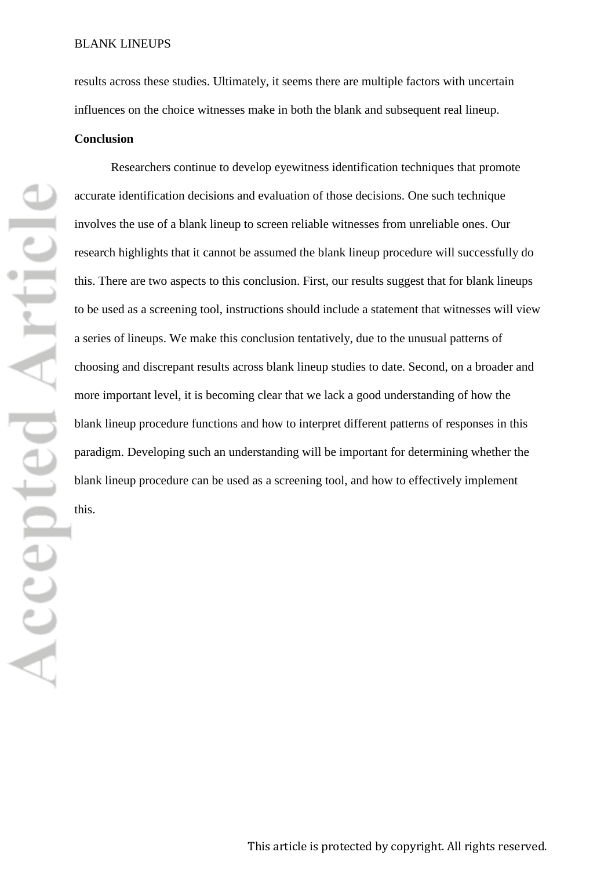results across these studies. Ultimately, it seems there are multiple factors with uncertain influences on the choice witnesses make in both the blank and subsequent real lineup.

#### **Conclusion**

Researchers continue to develop eyewitness identification techniques that promote accurate identification decisions and evaluation of those decisions. One such technique involves the use of a blank lineup to screen reliable witnesses from unreliable ones. Our research highlights that it cannot be assumed the blank lineup procedure will successfully do this. There are two aspects to this conclusion. First, our results suggest that for blank lineups to be used as a screening tool, instructions should include a statement that witnesses will view a series of lineups. We make this conclusion tentatively, due to the unusual patterns of choosing and discrepant results across blank lineup studies to date. Second, on a broader and more important level, it is becoming clear that we lack a good understanding of how the blank lineup procedure functions and how to interpret different patterns of responses in this paradigm. Developing such an understanding will be important for determining whether the blank lineup procedure can be used as a screening tool, and how to effectively implement this.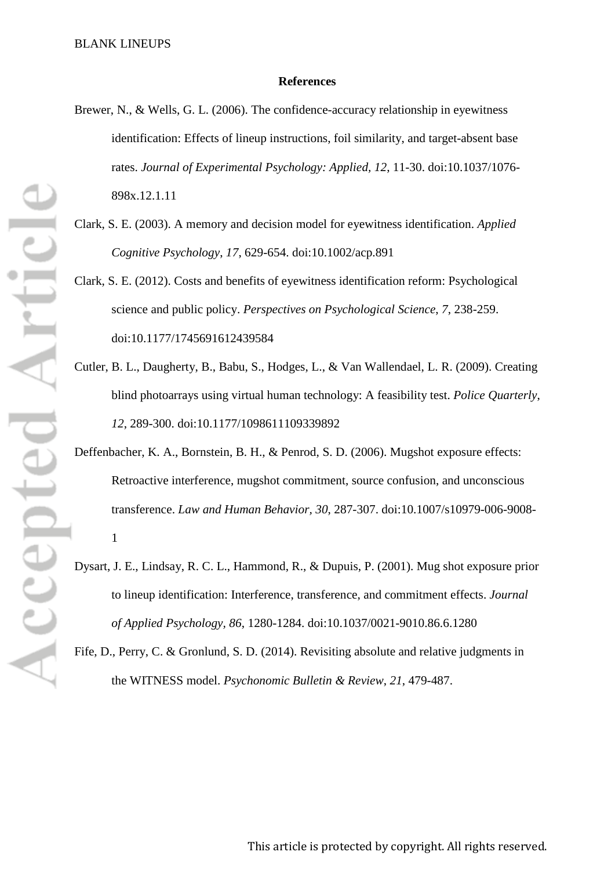### **References**

- Brewer, N., & Wells, G. L. (2006). The confidence-accuracy relationship in eyewitness identification: Effects of lineup instructions, foil similarity, and target-absent base rates. *Journal of Experimental Psychology: Applied, 12*, 11-30. doi:10.1037/1076- 898x.12.1.11
- Clark, S. E. (2003). A memory and decision model for eyewitness identification. *Applied Cognitive Psychology*, *17*, 629-654. doi:10.1002/acp.891
- Clark, S. E. (2012). Costs and benefits of eyewitness identification reform: Psychological science and public policy. *Perspectives on Psychological Science*, *7*, 238-259. doi:10.1177/1745691612439584
- Cutler, B. L., Daugherty, B., Babu, S., Hodges, L., & Van Wallendael, L. R. (2009). Creating blind photoarrays using virtual human technology: A feasibility test. *Police Quarterly*, *12*, 289-300. doi:10.1177/1098611109339892
- Deffenbacher, K. A., Bornstein, B. H., & Penrod, S. D. (2006). Mugshot exposure effects: Retroactive interference, mugshot commitment, source confusion, and unconscious transference. *Law and Human Behavior, 30*, 287-307. doi:10.1007/s10979-006-9008- 1
- Dysart, J. E., Lindsay, R. C. L., Hammond, R., & Dupuis, P. (2001). Mug shot exposure prior to lineup identification: Interference, transference, and commitment effects. *Journal of Applied Psychology, 86*, 1280-1284. doi:10.1037/0021-9010.86.6.1280
- Fife, D., Perry, C. & Gronlund, S. D. (2014). Revisiting absolute and relative judgments in the WITNESS model. *Psychonomic Bulletin & Review*, *21*, 479-487.

Accepted Articl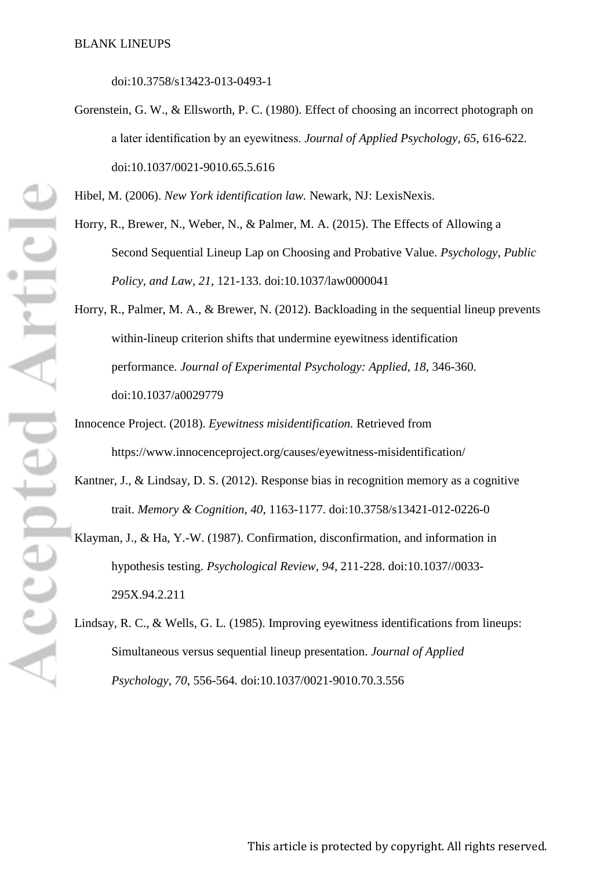doi:10.3758/s13423-013-0493-1

Gorenstein, G. W., & Ellsworth, P. C. (1980). Effect of choosing an incorrect photograph on a later identification by an eyewitness. *Journal of Applied Psychology*, *65*, 616-622. doi:10.1037/0021-9010.65.5.616

Hibel, M. (2006). *New York identification law.* Newark, NJ: LexisNexis.

- Horry, R., Brewer, N., Weber, N., & Palmer, M. A. (2015). The Effects of Allowing a Second Sequential Lineup Lap on Choosing and Probative Value. *Psychology, Public Policy, and Law*, *21*, 121-133. doi:10.1037/law0000041
- Horry, R., Palmer, M. A., & Brewer, N. (2012). Backloading in the sequential lineup prevents within-lineup criterion shifts that undermine eyewitness identification performance. *Journal of Experimental Psychology: Applied*, *18*, 346-360. doi:10.1037/a0029779
- Innocence Project. (2018). *Eyewitness misidentification.* Retrieved from https://www.innocenceproject.org/causes/eyewitness-misidentification/
- Kantner, J., & Lindsay, D. S. (2012). Response bias in recognition memory as a cognitive trait. *Memory & Cognition, 40*, 1163-1177. doi:10.3758/s13421-012-0226-0
- Klayman, J., & Ha, Y.-W. (1987). Confirmation, disconfirmation, and information in hypothesis testing. *Psychological Review, 94*, 211-228. doi:10.1037//0033- 295X.94.2.211
- Lindsay, R. C., & Wells, G. L. (1985). Improving eyewitness identifications from lineups: Simultaneous versus sequential lineup presentation. *Journal of Applied Psychology*, *70*, 556-564. doi:10.1037/0021-9010.70.3.556

**Accepted Article**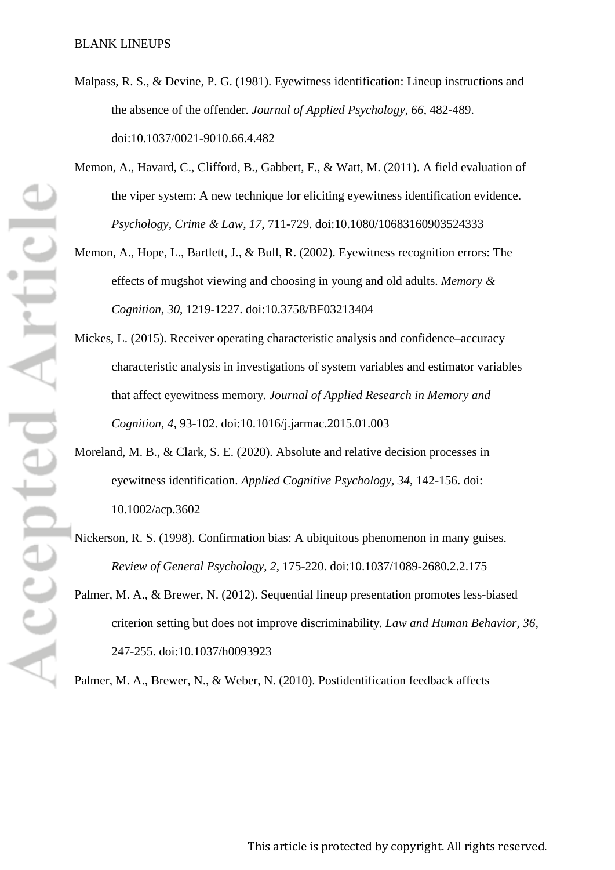- Malpass, R. S., & Devine, P. G. (1981). Eyewitness identification: Lineup instructions and the absence of the offender. *Journal of Applied Psychology, 66*, 482-489. doi:10.1037/0021-9010.66.4.482
- Memon, A., Havard, C., Clifford, B., Gabbert, F., & Watt, M. (2011). A field evaluation of the viper system: A new technique for eliciting eyewitness identification evidence. *Psychology, Crime & Law, 17*, 711-729. doi:10.1080/10683160903524333
- Memon, A., Hope, L., Bartlett, J., & Bull, R. (2002). Eyewitness recognition errors: The effects of mugshot viewing and choosing in young and old adults. *Memory & Cognition*, *30*, 1219-1227. doi:10.3758/BF03213404
- Mickes, L. (2015). Receiver operating characteristic analysis and confidence–accuracy characteristic analysis in investigations of system variables and estimator variables that affect eyewitness memory. *Journal of Applied Research in Memory and Cognition, 4*, 93-102. doi:10.1016/j.jarmac.2015.01.003
- Moreland, M. B., & Clark, S. E. (2020). Absolute and relative decision processes in eyewitness identification. *Applied Cognitive Psychology, 34*, 142-156. doi: 10.1002/acp.3602
- Nickerson, R. S. (1998). Confirmation bias: A ubiquitous phenomenon in many guises. *Review of General Psychology*, *2*, 175-220. doi:10.1037/1089-2680.2.2.175
- Palmer, M. A., & Brewer, N. (2012). Sequential lineup presentation promotes less-biased criterion setting but does not improve discriminability. *Law and Human Behavior, 36,*  247-255. doi:10.1037/h0093923

Palmer, M. A., Brewer, N., & Weber, N. (2010). Postidentification feedback affects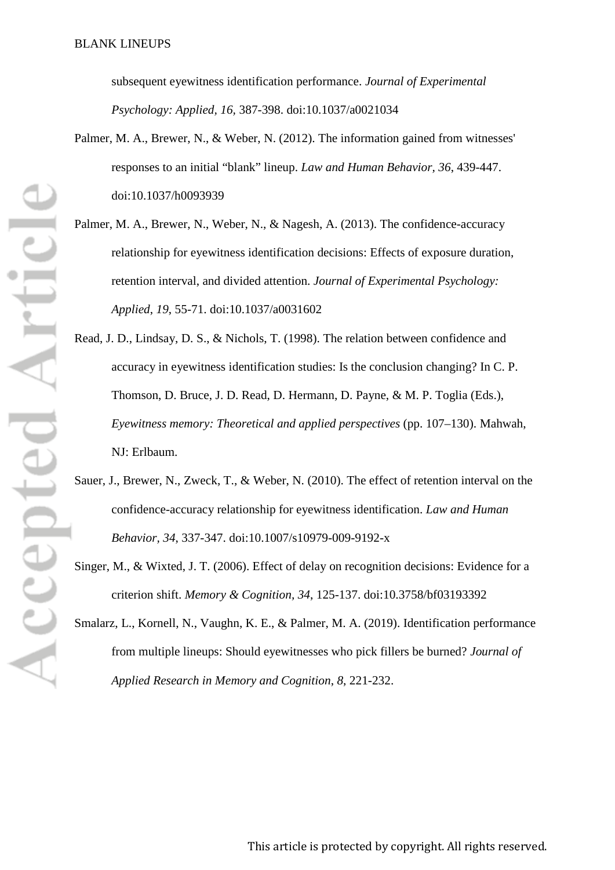subsequent eyewitness identification performance. *Journal of Experimental Psychology: Applied, 16,* 387-398. doi:10.1037/a0021034

- Palmer, M. A., Brewer, N., & Weber, N. (2012). The information gained from witnesses' responses to an initial "blank" lineup. *Law and Human Behavior, 36*, 439-447. doi:10.1037/h0093939
- Palmer, M. A., Brewer, N., Weber, N., & Nagesh, A. (2013). The confidence-accuracy relationship for eyewitness identification decisions: Effects of exposure duration, retention interval, and divided attention. *Journal of Experimental Psychology: Applied*, *19*, 55-71. doi:10.1037/a0031602
- Read, J. D., Lindsay, D. S., & Nichols, T. (1998). The relation between confidence and accuracy in eyewitness identification studies: Is the conclusion changing? In C. P. Thomson, D. Bruce, J. D. Read, D. Hermann, D. Payne, & M. P. Toglia (Eds.), *Eyewitness memory: Theoretical and applied perspectives* (pp. 107–130). Mahwah, NJ: Erlbaum.
- Sauer, J., Brewer, N., Zweck, T., & Weber, N. (2010). The effect of retention interval on the confidence-accuracy relationship for eyewitness identification. *Law and Human Behavior, 34*, 337-347. doi:10.1007/s10979-009-9192-x
- Singer, M., & Wixted, J. T. (2006). Effect of delay on recognition decisions: Evidence for a criterion shift. *Memory & Cognition, 34*, 125-137. doi:10.3758/bf03193392
- Smalarz, L., Kornell, N., Vaughn, K. E., & Palmer, M. A. (2019). Identification performance from multiple lineups: Should eyewitnesses who pick fillers be burned? *Journal of Applied Research in Memory and Cognition*, *8*, 221-232.

Accepted Articl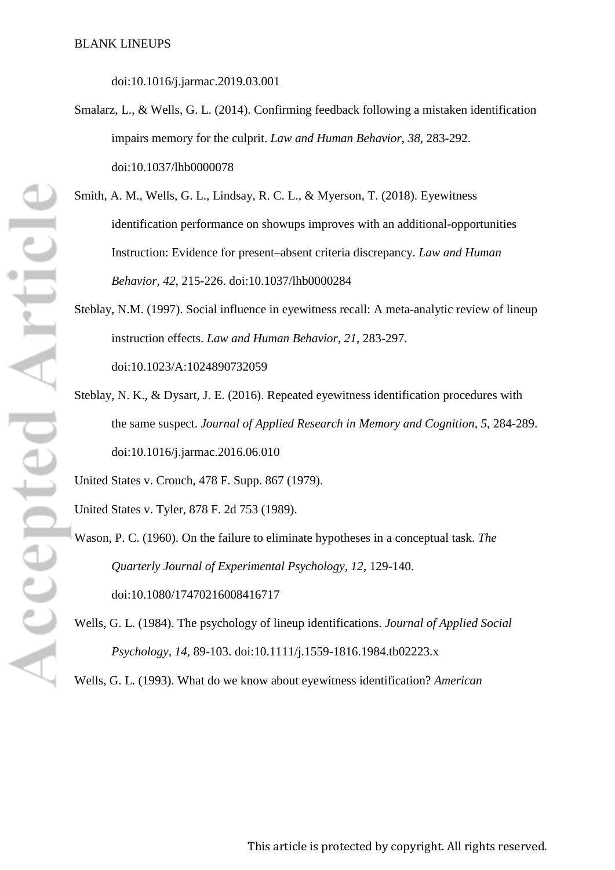doi:10.1016/j.jarmac.2019.03.001

- Smalarz, L., & Wells, G. L. (2014). Confirming feedback following a mistaken identification impairs memory for the culprit. *Law and Human Behavior*, *38*, 283-292. doi:10.1037/lhb0000078
- Smith, A. M., Wells, G. L., Lindsay, R. C. L., & Myerson, T. (2018). Eyewitness identification performance on showups improves with an additional-opportunities Instruction: Evidence for present–absent criteria discrepancy. *Law and Human Behavior*, *42*, 215-226. doi:10.1037/lhb0000284
- Steblay, N.M. (1997). Social influence in eyewitness recall: A meta-analytic review of lineup instruction effects. *Law and Human Behavior*, *21*, 283-297. doi:10.1023/A:1024890732059
- Steblay, N. K., & Dysart, J. E. (2016). Repeated eyewitness identification procedures with the same suspect. *Journal of Applied Research in Memory and Cognition*, *5*, 284-289. doi:10.1016/j.jarmac.2016.06.010

United States v. Crouch, 478 F. Supp. 867 (1979).

United States v. Tyler, 878 F. 2d 753 (1989).

Wason, P. C. (1960). On the failure to eliminate hypotheses in a conceptual task. *The Quarterly Journal of Experimental Psychology, 12*, 129-140. doi:10.1080/17470216008416717

Wells, G. L. (1984). The psychology of lineup identifications. *Journal of Applied Social Psychology, 14*, 89-103. doi:10.1111/j.1559-1816.1984.tb02223.x

Wells, G. L. (1993). What do we know about eyewitness identification? *American*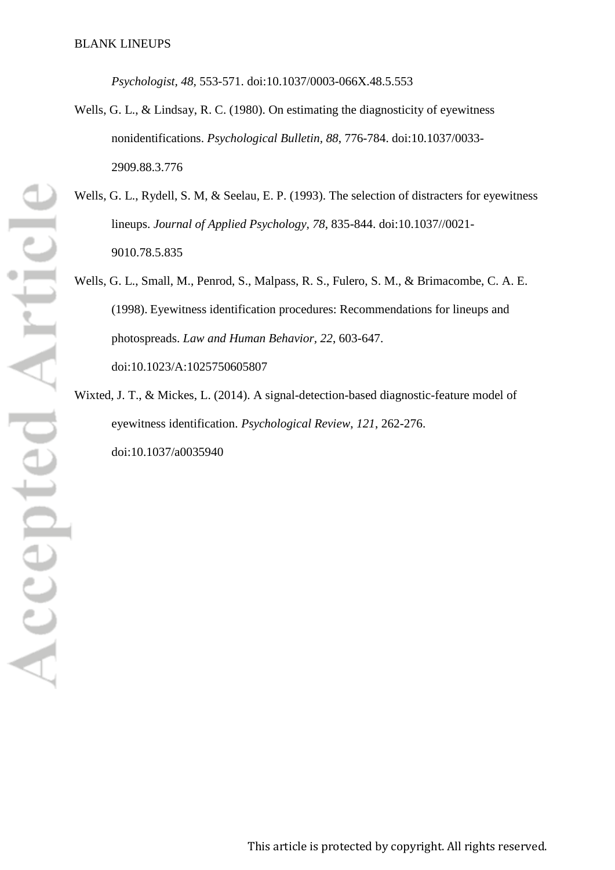*Psychologist, 48,* 553-571. doi:10.1037/0003-066X.48.5.553

- Wells, G. L., & Lindsay, R. C. (1980). On estimating the diagnosticity of evewitness nonidentifications. *Psychological Bulletin, 88*, 776-784. doi:10.1037/0033- 2909.88.3.776
- Wells, G. L., Rydell, S. M, & Seelau, E. P. (1993). The selection of distracters for eyewitness lineups. *Journal of Applied Psychology, 78*, 835-844. doi:10.1037//0021- 9010.78.5.835
- Wells, G. L., Small, M., Penrod, S., Malpass, R. S., Fulero, S. M., & Brimacombe, C. A. E. (1998). Eyewitness identification procedures: Recommendations for lineups and photospreads. *Law and Human Behavior, 22*, 603-647. doi:10.1023/A:1025750605807
- Wixted, J. T., & Mickes, L. (2014). A signal-detection-based diagnostic-feature model of eyewitness identification. *Psychological Review*, *121*, 262-276. doi:10.1037/a0035940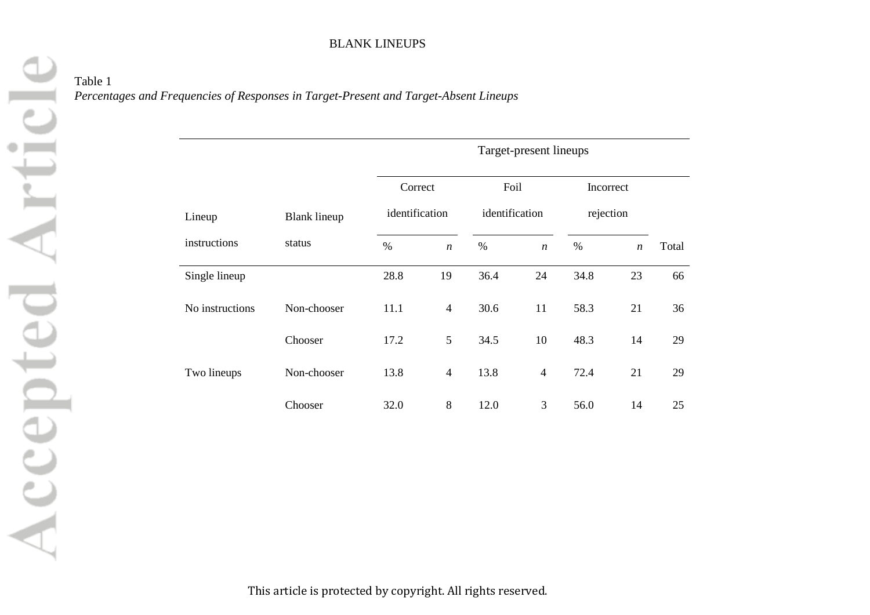Table 1 *Percentages and Frequencies of Responses in Target-Present and Target-Absent Lineups*

|                 |                     | Target-present lineups |                  |                |                  |           |                  |       |  |
|-----------------|---------------------|------------------------|------------------|----------------|------------------|-----------|------------------|-------|--|
|                 |                     | Correct                |                  | Foil           |                  | Incorrect |                  |       |  |
| Lineup          | <b>Blank</b> lineup | identification         |                  | identification |                  | rejection |                  |       |  |
| instructions    | status              | $\%$                   | $\boldsymbol{n}$ | $\%$           | $\boldsymbol{n}$ | $\%$      | $\boldsymbol{n}$ | Total |  |
| Single lineup   |                     | 28.8                   | 19               | 36.4           | 24               | 34.8      | 23               | 66    |  |
| No instructions | Non-chooser         | 11.1                   | $\overline{4}$   | 30.6           | 11               | 58.3      | 21               | 36    |  |
|                 | Chooser             | 17.2                   | 5                | 34.5           | 10               | 48.3      | 14               | 29    |  |
| Two lineups     | Non-chooser         | 13.8                   | $\overline{4}$   | 13.8           | $\overline{4}$   | 72.4      | 21               | 29    |  |
|                 | Chooser             | 32.0                   | 8                | 12.0           | 3                | 56.0      | 14               | 25    |  |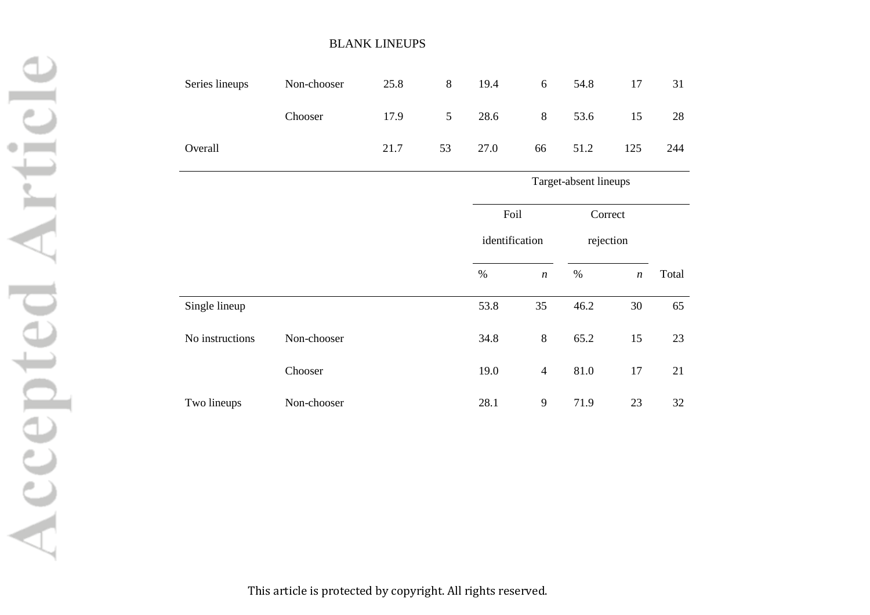| Series lineups | Non-chooser | 25.8 | 8              | 19.4 | 6              | 54.8 | 17  | 31  |
|----------------|-------------|------|----------------|------|----------------|------|-----|-----|
|                | Chooser     | 17.9 | 5 <sup>5</sup> | 28.6 | 8 <sup>8</sup> | 53.6 | 15  | 28  |
| Overall        |             | 21.7 | 53             | 27.0 | 66             | 51.2 | 125 | 244 |

# Target-absent lineups Foil identification Correct rejection % *n* % *n* Total Single lineup 53.8 35 46.2 30 65 No instructions Non-chooser 34.8 8 65.2 15 23 Chooser 19.0 4 81.0 17 21 Two lineups Non-chooser 28.1 9 71.9 23 32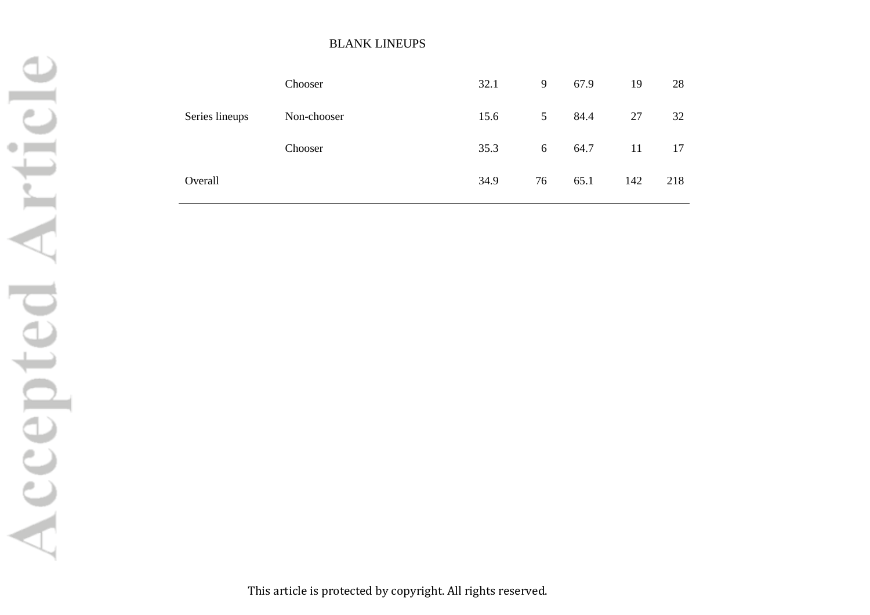|                | Chooser     | 32.1 | 9              | 67.9 | 19  | 28  |
|----------------|-------------|------|----------------|------|-----|-----|
| Series lineups | Non-chooser | 15.6 | 5 <sup>5</sup> | 84.4 | 27  | 32  |
|                | Chooser     | 35.3 | 6              | 64.7 | 11  | 17  |
| Overall        |             | 34.9 | 76             | 65.1 | 142 | 218 |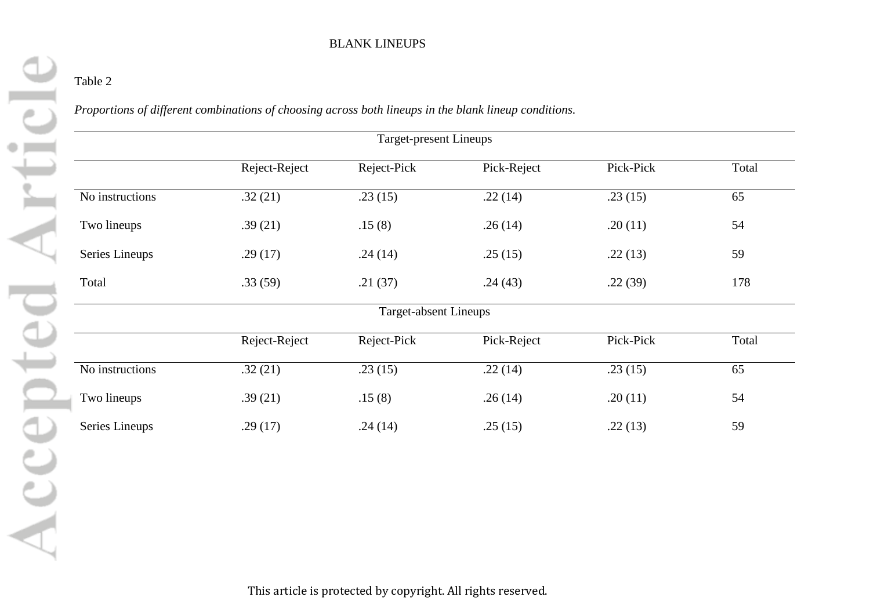# Table 2

*Proportions of different combinations of choosing across both lineups in the blank lineup conditions.*

|                 |               | Target-present Lineups |             |           |       |
|-----------------|---------------|------------------------|-------------|-----------|-------|
|                 | Reject-Reject | Reject-Pick            | Pick-Reject | Pick-Pick | Total |
| No instructions | .32(21)       | .23(15)                | .22(14)     | .23(15)   | 65    |
| Two lineups     | .39(21)       | .15(8)                 | .26(14)     | .20(11)   | 54    |
| Series Lineups  | .29(17)       | .24(14)                | .25(15)     | .22(13)   | 59    |
| Total           | .33(59)       | .21(37)                | .24(43)     | .22(39)   | 178   |
|                 |               | Target-absent Lineups  |             |           |       |
|                 | Reject-Reject | Reject-Pick            | Pick-Reject | Pick-Pick | Total |
| No instructions | .32(21)       | .23(15)                | .22(14)     | .23(15)   | 65    |
| Two lineups     | .39(21)       | .15(8)                 | .26(14)     | .20(11)   | 54    |
| Series Lineups  | .29(17)       | .24(14)                | .25(15)     | .22(13)   | 59    |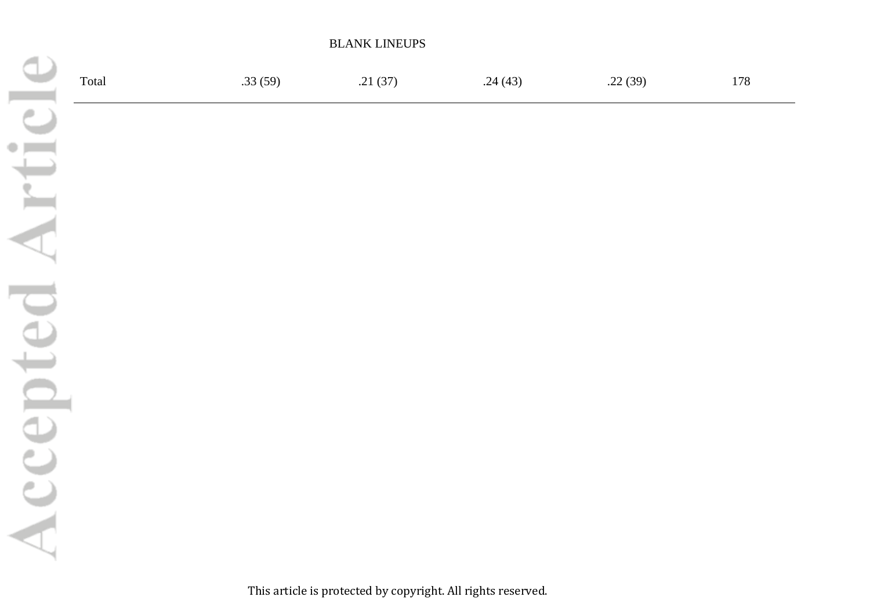|       |         | <b>BLANK LINEUPS</b> |         |         |     |
|-------|---------|----------------------|---------|---------|-----|
| Total | .33(59) | .21(37)              | .24(43) | .22(39) | 178 |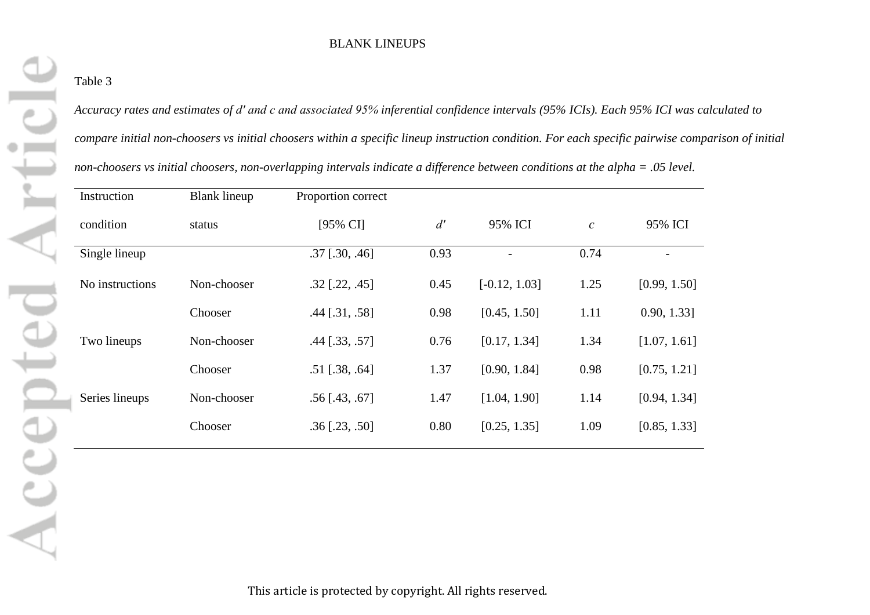# Table 3

*Accuracy rates and estimates of d′ and c and associated 95% inferential confidence intervals (95% ICIs). Each 95% ICI was calculated to compare initial non-choosers vs initial choosers within a specific lineup instruction condition. For each specific pairwise comparison of initial non-choosers vs initial choosers, non-overlapping intervals indicate a difference between conditions at the alpha = .05 level.*

| Instruction     | <b>Blank lineup</b> | Proportion correct   |      |                 |                  |                |
|-----------------|---------------------|----------------------|------|-----------------|------------------|----------------|
| condition       | status              | [95% CI]             | d'   | 95% ICI         | $\boldsymbol{c}$ | 95% ICI        |
| Single lineup   |                     | $.37$ [.30, .46]     | 0.93 |                 | 0.74             |                |
| No instructions | Non-chooser         | $.32$ [.22, .45]     | 0.45 | $[-0.12, 1.03]$ | 1.25             | [0.99, 1.50]   |
|                 | Chooser             | $.44$ [ $.31, .58$ ] | 0.98 | [0.45, 1.50]    | 1.11             | $0.90, 1.33$ ] |
| Two lineups     | Non-chooser         | $.44$ [ $.33, .57$ ] | 0.76 | [0.17, 1.34]    | 1.34             | [1.07, 1.61]   |
|                 | Chooser             | $.51$ [.38, .64]     | 1.37 | [0.90, 1.84]    | 0.98             | [0.75, 1.21]   |
| Series lineups  | Non-chooser         | $.56$ [.43, .67]     | 1.47 | [1.04, 1.90]    | 1.14             | [0.94, 1.34]   |
|                 | Chooser             | $.36$ [.23, .50]     | 0.80 | [0.25, 1.35]    | 1.09             | [0.85, 1.33]   |
|                 |                     |                      |      |                 |                  |                |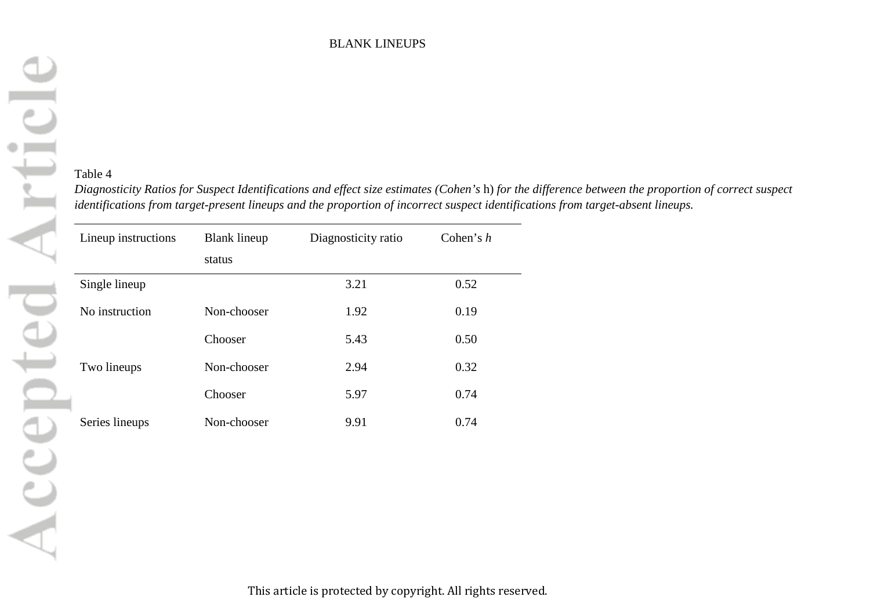# Table 4

*Diagnosticity Ratios for Suspect Identifications and effect size estimates (Cohen's* h) *for the difference between the proportion of correct suspect identifications from target-present lineups and the proportion of incorrect suspect identifications from target-absent lineups.*

| Lineup instructions | <b>Blank lineup</b><br>status | Diagnosticity ratio | Cohen's $h$ |  |
|---------------------|-------------------------------|---------------------|-------------|--|
| Single lineup       |                               | 3.21                | 0.52        |  |
| No instruction      | Non-chooser                   | 1.92                | 0.19        |  |
|                     | Chooser                       | 5.43                | 0.50        |  |
| Two lineups         | Non-chooser                   | 2.94                | 0.32        |  |
|                     | Chooser                       | 5.97                | 0.74        |  |
| Series lineups      | Non-chooser                   | 9.91                | 0.74        |  |